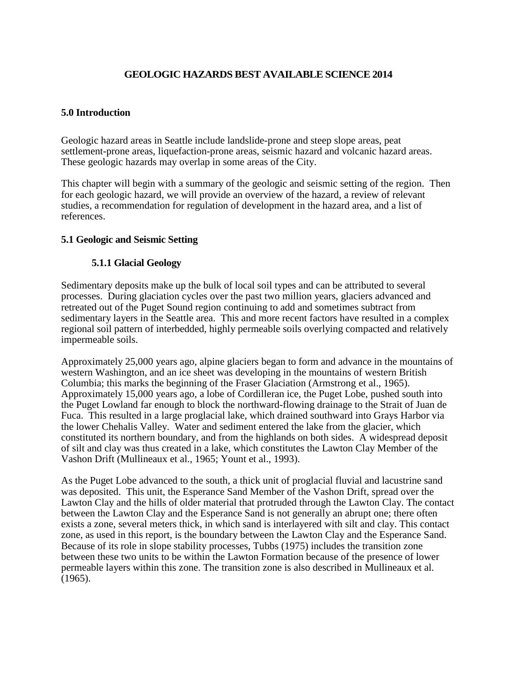# **GEOLOGIC HAZARDS BEST AVAILABLE SCIENCE 2014**

### **5.0 Introduction**

Geologic hazard areas in Seattle include landslide-prone and steep slope areas, peat settlement-prone areas, liquefaction-prone areas, seismic hazard and volcanic hazard areas. These geologic hazards may overlap in some areas of the City.

This chapter will begin with a summary of the geologic and seismic setting of the region. Then for each geologic hazard, we will provide an overview of the hazard, a review of relevant studies, a recommendation for regulation of development in the hazard area, and a list of references.

### **5.1 Geologic and Seismic Setting**

### **5.1.1 Glacial Geology**

Sedimentary deposits make up the bulk of local soil types and can be attributed to several processes. During glaciation cycles over the past two million years, glaciers advanced and retreated out of the Puget Sound region continuing to add and sometimes subtract from sedimentary layers in the Seattle area. This and more recent factors have resulted in a complex regional soil pattern of interbedded, highly permeable soils overlying compacted and relatively impermeable soils.

Approximately 25,000 years ago, alpine glaciers began to form and advance in the mountains of western Washington, and an ice sheet was developing in the mountains of western British Columbia; this marks the beginning of the Fraser Glaciation (Armstrong et al., 1965). Approximately 15,000 years ago, a lobe of Cordilleran ice, the Puget Lobe, pushed south into the Puget Lowland far enough to block the northward-flowing drainage to the Strait of Juan de Fuca. This resulted in a large proglacial lake, which drained southward into Grays Harbor via the lower Chehalis Valley. Water and sediment entered the lake from the glacier, which constituted its northern boundary, and from the highlands on both sides. A widespread deposit of silt and clay was thus created in a lake, which constitutes the Lawton Clay Member of the Vashon Drift (Mullineaux et al., 1965; Yount et al., 1993).

As the Puget Lobe advanced to the south, a thick unit of proglacial fluvial and lacustrine sand was deposited. This unit, the Esperance Sand Member of the Vashon Drift, spread over the Lawton Clay and the hills of older material that protruded through the Lawton Clay. The contact between the Lawton Clay and the Esperance Sand is not generally an abrupt one; there often exists a zone, several meters thick, in which sand is interlayered with silt and clay. This contact zone, as used in this report, is the boundary between the Lawton Clay and the Esperance Sand. Because of its role in slope stability processes, Tubbs (1975) includes the transition zone between these two units to be within the Lawton Formation because of the presence of lower permeable layers within this zone. The transition zone is also described in Mullineaux et al. (1965).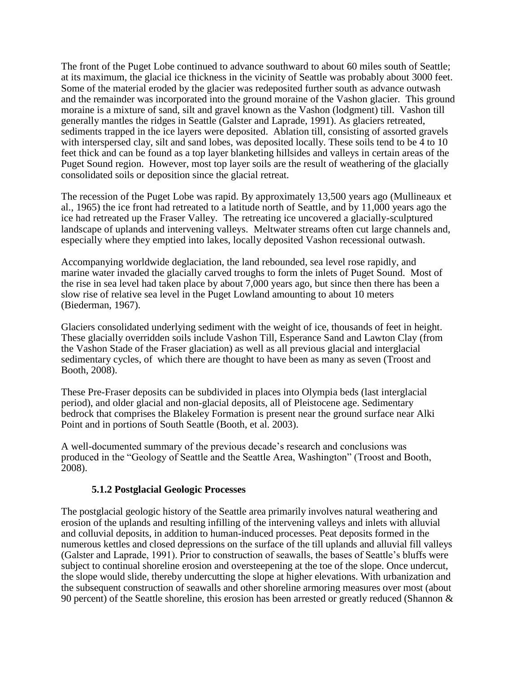The front of the Puget Lobe continued to advance southward to about 60 miles south of Seattle; at its maximum, the glacial ice thickness in the vicinity of Seattle was probably about 3000 feet. Some of the material eroded by the glacier was redeposited further south as advance outwash and the remainder was incorporated into the ground moraine of the Vashon glacier. This ground moraine is a mixture of sand, silt and gravel known as the Vashon (lodgment) till. Vashon till generally mantles the ridges in Seattle (Galster and Laprade, 1991). As glaciers retreated, sediments trapped in the ice layers were deposited. Ablation till, consisting of assorted gravels with interspersed clay, silt and sand lobes, was deposited locally. These soils tend to be 4 to 10 feet thick and can be found as a top layer blanketing hillsides and valleys in certain areas of the Puget Sound region. However, most top layer soils are the result of weathering of the glacially consolidated soils or deposition since the glacial retreat.

The recession of the Puget Lobe was rapid. By approximately 13,500 years ago (Mullineaux et al., 1965) the ice front had retreated to a latitude north of Seattle, and by 11,000 years ago the ice had retreated up the Fraser Valley. The retreating ice uncovered a glacially-sculptured landscape of uplands and intervening valleys. Meltwater streams often cut large channels and, especially where they emptied into lakes, locally deposited Vashon recessional outwash.

Accompanying worldwide deglaciation, the land rebounded, sea level rose rapidly, and marine water invaded the glacially carved troughs to form the inlets of Puget Sound. Most of the rise in sea level had taken place by about 7,000 years ago, but since then there has been a slow rise of relative sea level in the Puget Lowland amounting to about 10 meters (Biederman, 1967).

Glaciers consolidated underlying sediment with the weight of ice, thousands of feet in height. These glacially overridden soils include Vashon Till, Esperance Sand and Lawton Clay (from the Vashon Stade of the Fraser glaciation) as well as all previous glacial and interglacial sedimentary cycles, of which there are thought to have been as many as seven (Troost and Booth, 2008).

These Pre-Fraser deposits can be subdivided in places into Olympia beds (last interglacial period), and older glacial and non-glacial deposits, all of Pleistocene age. Sedimentary bedrock that comprises the Blakeley Formation is present near the ground surface near Alki Point and in portions of South Seattle (Booth, et al. 2003).

A well-documented summary of the previous decade's research and conclusions was produced in the "Geology of Seattle and the Seattle Area, Washington" (Troost and Booth, 2008).

### **5.1.2 Postglacial Geologic Processes**

The postglacial geologic history of the Seattle area primarily involves natural weathering and erosion of the uplands and resulting infilling of the intervening valleys and inlets with alluvial and colluvial deposits, in addition to human-induced processes. Peat deposits formed in the numerous kettles and closed depressions on the surface of the till uplands and alluvial fill valleys (Galster and Laprade, 1991). Prior to construction of seawalls, the bases of Seattle's bluffs were subject to continual shoreline erosion and oversteepening at the toe of the slope. Once undercut, the slope would slide, thereby undercutting the slope at higher elevations. With urbanization and the subsequent construction of seawalls and other shoreline armoring measures over most (about 90 percent) of the Seattle shoreline, this erosion has been arrested or greatly reduced (Shannon &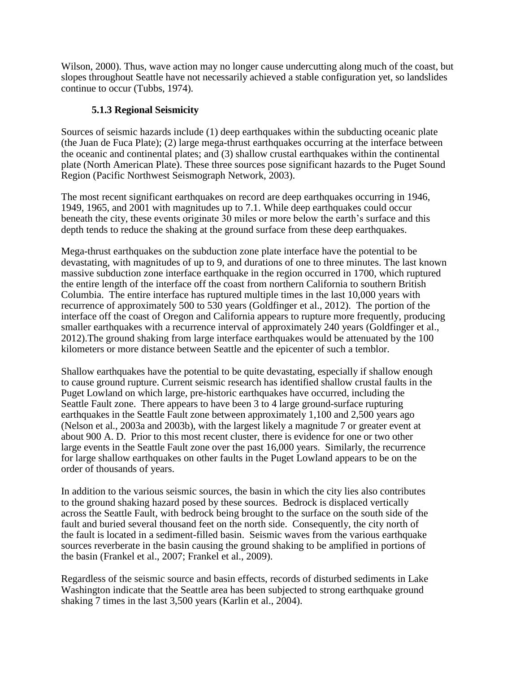Wilson, 2000). Thus, wave action may no longer cause undercutting along much of the coast, but slopes throughout Seattle have not necessarily achieved a stable configuration yet, so landslides continue to occur (Tubbs, 1974).

### **5.1.3 Regional Seismicity**

Sources of seismic hazards include (1) deep earthquakes within the subducting oceanic plate (the Juan de Fuca Plate); (2) large mega-thrust earthquakes occurring at the interface between the oceanic and continental plates; and (3) shallow crustal earthquakes within the continental plate (North American Plate). These three sources pose significant hazards to the Puget Sound Region (Pacific Northwest Seismograph Network, 2003).

The most recent significant earthquakes on record are deep earthquakes occurring in 1946, 1949, 1965, and 2001 with magnitudes up to 7.1. While deep earthquakes could occur beneath the city, these events originate 30 miles or more below the earth's surface and this depth tends to reduce the shaking at the ground surface from these deep earthquakes.

Mega-thrust earthquakes on the subduction zone plate interface have the potential to be devastating, with magnitudes of up to 9, and durations of one to three minutes. The last known massive subduction zone interface earthquake in the region occurred in 1700, which ruptured the entire length of the interface off the coast from northern California to southern British Columbia. The entire interface has ruptured multiple times in the last 10,000 years with recurrence of approximately 500 to 530 years (Goldfinger et al., 2012). The portion of the interface off the coast of Oregon and California appears to rupture more frequently, producing smaller earthquakes with a recurrence interval of approximately 240 years (Goldfinger et al., 2012).The ground shaking from large interface earthquakes would be attenuated by the 100 kilometers or more distance between Seattle and the epicenter of such a temblor.

Shallow earthquakes have the potential to be quite devastating, especially if shallow enough to cause ground rupture. Current seismic research has identified shallow crustal faults in the Puget Lowland on which large, pre-historic earthquakes have occurred, including the Seattle Fault zone. There appears to have been 3 to 4 large ground-surface rupturing earthquakes in the Seattle Fault zone between approximately 1,100 and 2,500 years ago (Nelson et al., 2003a and 2003b), with the largest likely a magnitude 7 or greater event at about 900 A. D. Prior to this most recent cluster, there is evidence for one or two other large events in the Seattle Fault zone over the past 16,000 years. Similarly, the recurrence for large shallow earthquakes on other faults in the Puget Lowland appears to be on the order of thousands of years.

In addition to the various seismic sources, the basin in which the city lies also contributes to the ground shaking hazard posed by these sources. Bedrock is displaced vertically across the Seattle Fault, with bedrock being brought to the surface on the south side of the fault and buried several thousand feet on the north side. Consequently, the city north of the fault is located in a sediment-filled basin. Seismic waves from the various earthquake sources reverberate in the basin causing the ground shaking to be amplified in portions of the basin (Frankel et al., 2007; Frankel et al., 2009).

Regardless of the seismic source and basin effects, records of disturbed sediments in Lake Washington indicate that the Seattle area has been subjected to strong earthquake ground shaking 7 times in the last 3,500 years (Karlin et al., 2004).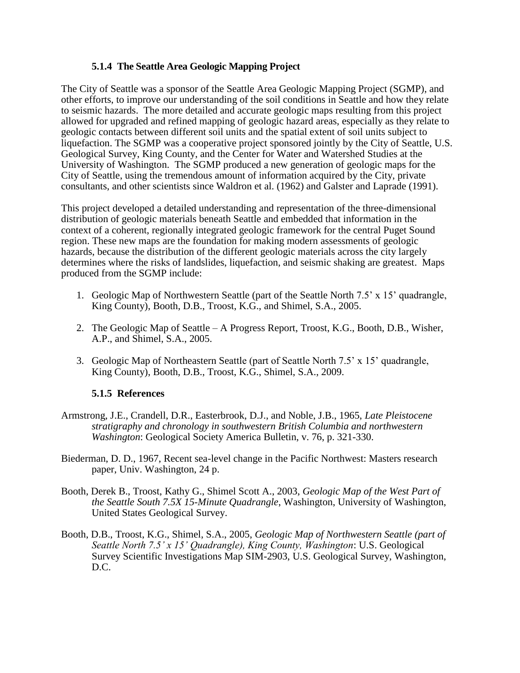### **5.1.4 The Seattle Area Geologic Mapping Project**

The City of Seattle was a sponsor of the Seattle Area Geologic Mapping Project (SGMP), and other efforts, to improve our understanding of the soil conditions in Seattle and how they relate to seismic hazards. The more detailed and accurate geologic maps resulting from this project allowed for upgraded and refined mapping of geologic hazard areas, especially as they relate to geologic contacts between different soil units and the spatial extent of soil units subject to liquefaction. The SGMP was a cooperative project sponsored jointly by the City of Seattle, U.S. Geological Survey, King County, and the Center for Water and Watershed Studies at the University of Washington. The SGMP produced a new generation of geologic maps for the City of Seattle, using the tremendous amount of information acquired by the City, private consultants, and other scientists since Waldron et al. (1962) and Galster and Laprade (1991).

This project developed a detailed understanding and representation of the three-dimensional distribution of geologic materials beneath Seattle and embedded that information in the context of a coherent, regionally integrated geologic framework for the central Puget Sound region. These new maps are the foundation for making modern assessments of geologic hazards, because the distribution of the different geologic materials across the city largely determines where the risks of landslides, liquefaction, and seismic shaking are greatest.Maps produced from the SGMP include:

- 1. Geologic Map of Northwestern Seattle (part of the Seattle North 7.5' x 15' quadrangle, King County), Booth, D.B., Troost, K.G., and Shimel, S.A., 2005.
- 2. The Geologic Map of Seattle A Progress Report, Troost, K.G., Booth, D.B., Wisher, A.P., and Shimel, S.A., 2005.
- 3. Geologic Map of Northeastern Seattle (part of Seattle North 7.5' x 15' quadrangle, King County), Booth, D.B., Troost, K.G., Shimel, S.A., 2009.

### **5.1.5 References**

- Armstrong, J.E., Crandell, D.R., Easterbrook, D.J., and Noble, J.B., 1965, *Late Pleistocene stratigraphy and chronology in southwestern British Columbia and northwestern Washington*: Geological Society America Bulletin, v. 76, p. 321-330.
- Biederman, D. D., 1967, Recent sea-level change in the Pacific Northwest: Masters research paper, Univ. Washington, 24 p.
- Booth, Derek B., Troost, Kathy G., Shimel Scott A., 2003, *Geologic Map of the West Part of the Seattle South 7.5X 15-Minute Quadrangle*, Washington, University of Washington, United States Geological Survey.
- Booth, D.B., Troost, K.G., Shimel, S.A., 2005, *Geologic Map of Northwestern Seattle (part of Seattle North 7.5' x 15' Quadrangle), King County, Washington*: U.S. Geological Survey Scientific Investigations Map SIM-2903, U.S. Geological Survey, Washington, D.C.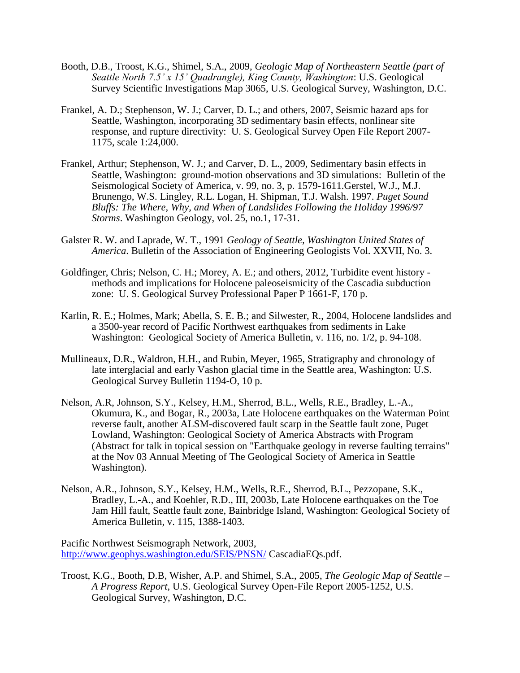- Booth, D.B., Troost, K.G., Shimel, S.A., 2009, *Geologic Map of Northeastern Seattle (part of Seattle North 7.5' x 15' Quadrangle), King County, Washington*: U.S. Geological Survey Scientific Investigations Map 3065, U.S. Geological Survey, Washington, D.C.
- Frankel, A. D.; Stephenson, W. J.; Carver, D. L.; and others, 2007, Seismic hazard aps for Seattle, Washington, incorporating 3D sedimentary basin effects, nonlinear site response, and rupture directivity: U. S. Geological Survey Open File Report 2007- 1175, scale 1:24,000.
- Frankel, Arthur; Stephenson, W. J.; and Carver, D. L., 2009, Sedimentary basin effects in Seattle, Washington: ground-motion observations and 3D simulations: Bulletin of the Seismological Society of America, v. 99, no. 3, p. 1579-1611.Gerstel, W.J., M.J. Brunengo, W.S. Lingley, R.L. Logan, H. Shipman, T.J. Walsh. 1997. *Puget Sound Bluffs: The Where, Why, and When of Landslides Following the Holiday 1996/97 Storms*. Washington Geology, vol. 25, no.1, 17-31.
- Galster R. W. and Laprade, W. T., 1991 *Geology of Seattle, Washington United States of America*. Bulletin of the Association of Engineering Geologists Vol. XXVII, No. 3.
- Goldfinger, Chris; Nelson, C. H.; Morey, A. E.; and others, 2012, Turbidite event history methods and implications for Holocene paleoseismicity of the Cascadia subduction zone: U. S. Geological Survey Professional Paper P 1661-F, 170 p.
- Karlin, R. E.; Holmes, Mark; Abella, S. E. B.; and Silwester, R., 2004, Holocene landslides and a 3500-year record of Pacific Northwest earthquakes from sediments in Lake Washington: Geological Society of America Bulletin, v. 116, no. 1/2, p. 94-108.
- Mullineaux, D.R., Waldron, H.H., and Rubin, Meyer, 1965, Stratigraphy and chronology of late interglacial and early Vashon glacial time in the Seattle area, Washington: U.S. Geological Survey Bulletin 1194-O, 10 p.
- Nelson, A.R, Johnson, S.Y., Kelsey, H.M., Sherrod, B.L., Wells, R.E., Bradley, L.-A., Okumura, K., and Bogar, R., 2003a, Late Holocene earthquakes on the Waterman Point reverse fault, another ALSM-discovered fault scarp in the Seattle fault zone, Puget Lowland, Washington: Geological Society of America Abstracts with Program (Abstract for talk in topical session on "Earthquake geology in reverse faulting terrains" at the Nov 03 Annual Meeting of The Geological Society of America in Seattle Washington).
- Nelson, A.R., Johnson, S.Y., Kelsey, H.M., Wells, R.E., Sherrod, B.L., Pezzopane, S.K., Bradley, L.-A., and Koehler, R.D., III, 2003b, Late Holocene earthquakes on the Toe Jam Hill fault, Seattle fault zone, Bainbridge Island, Washington: Geological Society of America Bulletin, v. 115, 1388-1403.

Pacific Northwest Seismograph Network, 2003, <http://www.geophys.washington.edu/SEIS/PNSN/> CascadiaEQs.pdf.

Troost, K.G., Booth, D.B, Wisher, A.P. and Shimel, S.A., 2005, *The Geologic Map of Seattle – A Progress Report*, U.S. Geological Survey Open-File Report 2005-1252, U.S. Geological Survey, Washington, D.C.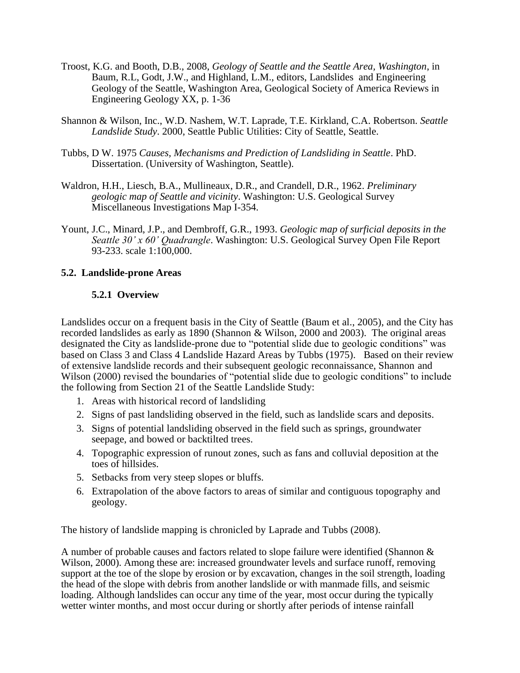- Troost, K.G. and Booth, D.B., 2008, *Geology of Seattle and the Seattle Area, Washington*, in Baum, R.L, Godt, J.W., and Highland, L.M., editors, Landslides and Engineering Geology of the Seattle, Washington Area, Geological Society of America Reviews in Engineering Geology XX, p. 1-36
- Shannon & Wilson, Inc., W.D. Nashem, W.T. Laprade, T.E. Kirkland, C.A. Robertson. *Seattle Landslide Study*. 2000, Seattle Public Utilities: City of Seattle, Seattle.
- Tubbs, D W. 1975 *Causes, Mechanisms and Prediction of Landsliding in Seattle*. PhD. Dissertation. (University of Washington, Seattle).
- Waldron, H.H., Liesch, B.A., Mullineaux, D.R., and Crandell, D.R., 1962. *Preliminary geologic map of Seattle and vicinity*. Washington: U.S. Geological Survey Miscellaneous Investigations Map I-354.
- Yount, J.C., Minard, J.P., and Dembroff, G.R., 1993. *Geologic map of surficial deposits in the Seattle 30' x 60' Quadrangle*. Washington: U.S. Geological Survey Open File Report 93-233. scale 1:100,000.

### **5.2. Landslide-prone Areas**

### **5.2.1 Overview**

Landslides occur on a frequent basis in the City of Seattle (Baum et al., 2005), and the City has recorded landslides as early as 1890 (Shannon & Wilson, 2000 and 2003). The original areas designated the City as landslide-prone due to "potential slide due to geologic conditions" was based on Class 3 and Class 4 Landslide Hazard Areas by Tubbs (1975). Based on their review of extensive landslide records and their subsequent geologic reconnaissance, Shannon and Wilson (2000) revised the boundaries of "potential slide due to geologic conditions" to include the following from Section 21 of the Seattle Landslide Study:

- 1. Areas with historical record of landsliding
- 2. Signs of past landsliding observed in the field, such as landslide scars and deposits.
- 3. Signs of potential landsliding observed in the field such as springs, groundwater seepage, and bowed or backtilted trees.
- 4. Topographic expression of runout zones, such as fans and colluvial deposition at the toes of hillsides.
- 5. Setbacks from very steep slopes or bluffs.
- 6. Extrapolation of the above factors to areas of similar and contiguous topography and geology.

The history of landslide mapping is chronicled by Laprade and Tubbs (2008).

A number of probable causes and factors related to slope failure were identified (Shannon & Wilson, 2000). Among these are: increased groundwater levels and surface runoff, removing support at the toe of the slope by erosion or by excavation, changes in the soil strength, loading the head of the slope with debris from another landslide or with manmade fills, and seismic loading. Although landslides can occur any time of the year, most occur during the typically wetter winter months, and most occur during or shortly after periods of intense rainfall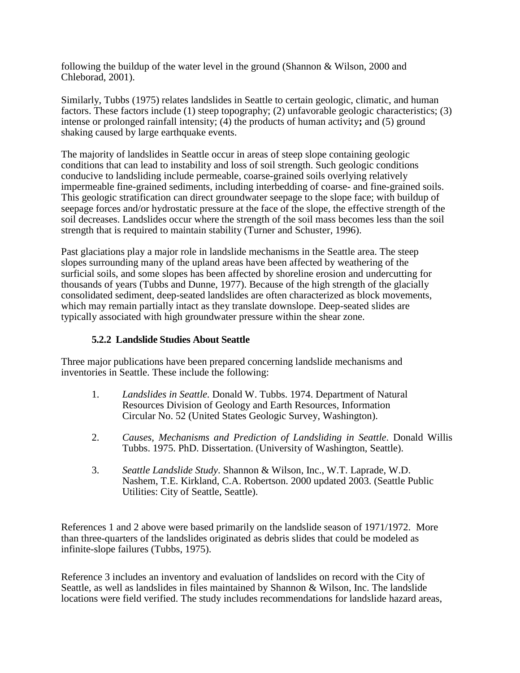following the buildup of the water level in the ground (Shannon & Wilson, 2000 and Chleborad, 2001).

Similarly, Tubbs (1975) relates landslides in Seattle to certain geologic, climatic, and human factors. These factors include (1) steep topography; (2) unfavorable geologic characteristics; (3) intense or prolonged rainfall intensity; (4) the products of human activity**;** and (5) ground shaking caused by large earthquake events.

The majority of landslides in Seattle occur in areas of steep slope containing geologic conditions that can lead to instability and loss of soil strength. Such geologic conditions conducive to landsliding include permeable, coarse-grained soils overlying relatively impermeable fine-grained sediments, including interbedding of coarse- and fine-grained soils. This geologic stratification can direct groundwater seepage to the slope face; with buildup of seepage forces and/or hydrostatic pressure at the face of the slope, the effective strength of the soil decreases. Landslides occur where the strength of the soil mass becomes less than the soil strength that is required to maintain stability (Turner and Schuster, 1996).

Past glaciations play a major role in landslide mechanisms in the Seattle area. The steep slopes surrounding many of the upland areas have been affected by weathering of the surficial soils, and some slopes has been affected by shoreline erosion and undercutting for thousands of years (Tubbs and Dunne, 1977). Because of the high strength of the glacially consolidated sediment, deep-seated landslides are often characterized as block movements, which may remain partially intact as they translate downslope. Deep-seated slides are typically associated with high groundwater pressure within the shear zone.

### **5.2.2 Landslide Studies About Seattle**

Three major publications have been prepared concerning landslide mechanisms and inventories in Seattle. These include the following:

- 1. *Landslides in Seattle.* Donald W. Tubbs. 1974. Department of Natural Resources Division of Geology and Earth Resources, Information Circular No. 52 (United States Geologic Survey, Washington).
- 2. *Causes, Mechanisms and Prediction of Landsliding in Seattle*. Donald Willis Tubbs. 1975. PhD. Dissertation. (University of Washington, Seattle).
- 3. *Seattle Landslide Study*. Shannon & Wilson, Inc., W.T. Laprade, W.D. Nashem, T.E. Kirkland, C.A. Robertson. 2000 updated 2003. (Seattle Public Utilities: City of Seattle, Seattle).

References 1 and 2 above were based primarily on the landslide season of 1971/1972. More than three-quarters of the landslides originated as debris slides that could be modeled as infinite-slope failures (Tubbs, 1975).

Reference 3 includes an inventory and evaluation of landslides on record with the City of Seattle, as well as landslides in files maintained by Shannon & Wilson, Inc. The landslide locations were field verified. The study includes recommendations for landslide hazard areas,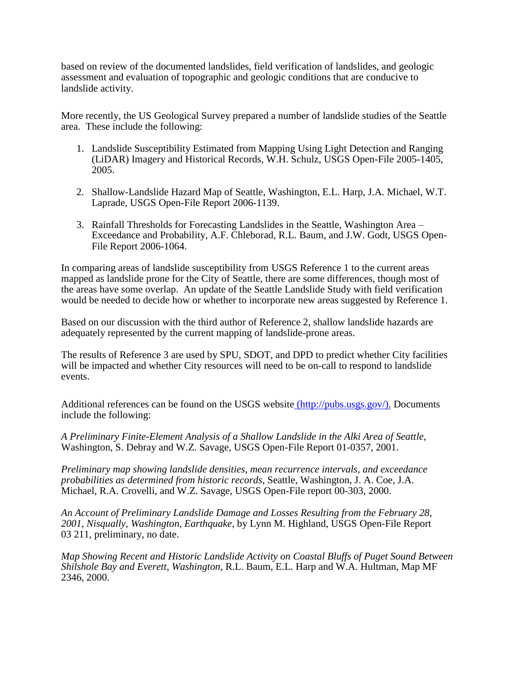based on review of the documented landslides, field verification of landslides, and geologic assessment and evaluation of topographic and geologic conditions that are conducive to landslide activity.

More recently, the US Geological Survey prepared a number of landslide studies of the Seattle area. These include the following:

- 1. Landslide Susceptibility Estimated from Mapping Using Light Detection and Ranging (LiDAR) Imagery and Historical Records, W.H. Schulz, USGS Open-File 2005-1405, 2005.
- 2. Shallow-Landslide Hazard Map of Seattle, Washington, E.L. Harp, J.A. Michael, W.T. Laprade, USGS Open-File Report 2006-1139.
- 3. Rainfall Thresholds for Forecasting Landslides in the Seattle, Washington Area Exceedance and Probability, A.F. Chleborad, R.L. Baum, and J.W. Godt, USGS Open-File Report 2006-1064.

In comparing areas of landslide susceptibility from USGS Reference 1 to the current areas mapped as landslide prone for the City of Seattle, there are some differences, though most of the areas have some overlap. An update of the Seattle Landslide Study with field verification would be needed to decide how or whether to incorporate new areas suggested by Reference 1.

Based on our discussion with the third author of Reference 2, shallow landslide hazards are adequately represented by the current mapping of landslide-prone areas.

The results of Reference 3 are used by SPU, SDOT, and DPD to predict whether City facilities will be impacted and whether City resources will need to be on-call to respond to landslide events.

Additional references can be found on the USGS website [\(http://pubs.usgs.gov/\).](http://pubs.usgs.gov/)) Documents include the following:

*A Preliminary Finite-Element Analysis of a Shallow Landslide in the Alki Area of Seattle*, Washington, S. Debray and W.Z. Savage, USGS Open-File Report 01-0357, 2001.

*Preliminary map showing landslide densities, mean recurrence intervals, and exceedance probabilities as determined from historic records*, Seattle, Washington, J. A. Coe, J.A. Michael, R.A. Crovelli, and W.Z. Savage, USGS Open-File report 00-303, 2000.

*An Account of Preliminary Landslide Damage and Losses Resulting from the February 28, 2001, Nisqually, Washington, Earthquake*, by Lynn M. Highland, USGS Open-File Report 03 211, preliminary, no date.

*Map Showing Recent and Historic Landslide Activity on Coastal Bluffs of Puget Sound Between Shilshole Bay and Everett, Washington*, R.L. Baum, E.L. Harp and W.A. Hultman, Map MF 2346, 2000.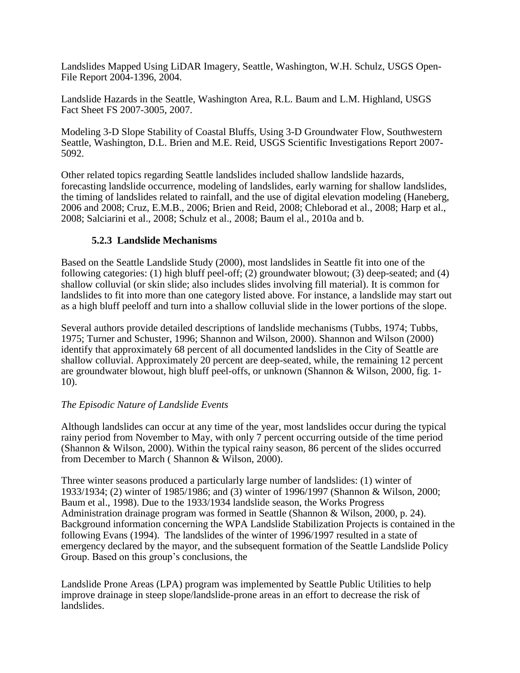Landslides Mapped Using LiDAR Imagery, Seattle, Washington, W.H. Schulz, USGS Open-File Report 2004-1396, 2004.

Landslide Hazards in the Seattle, Washington Area, R.L. Baum and L.M. Highland, USGS Fact Sheet FS 2007-3005, 2007.

Modeling 3-D Slope Stability of Coastal Bluffs, Using 3-D Groundwater Flow, Southwestern Seattle, Washington, D.L. Brien and M.E. Reid, USGS Scientific Investigations Report 2007- 5092.

Other related topics regarding Seattle landslides included shallow landslide hazards, forecasting landslide occurrence, modeling of landslides, early warning for shallow landslides, the timing of landslides related to rainfall, and the use of digital elevation modeling (Haneberg, 2006 and 2008; Cruz, E.M.B., 2006; Brien and Reid, 2008; Chleborad et al., 2008; Harp et al., 2008; Salciarini et al., 2008; Schulz et al., 2008; Baum el al., 2010a and b.

### **5.2.3 Landslide Mechanisms**

Based on the Seattle Landslide Study (2000), most landslides in Seattle fit into one of the following categories: (1) high bluff peel-off; (2) groundwater blowout; (3) deep-seated; and (4) shallow colluvial (or skin slide; also includes slides involving fill material). It is common for landslides to fit into more than one category listed above. For instance, a landslide may start out as a high bluff peeloff and turn into a shallow colluvial slide in the lower portions of the slope.

Several authors provide detailed descriptions of landslide mechanisms (Tubbs, 1974; Tubbs, 1975; Turner and Schuster, 1996; Shannon and Wilson, 2000). Shannon and Wilson (2000) identify that approximately 68 percent of all documented landslides in the City of Seattle are shallow colluvial. Approximately 20 percent are deep-seated, while, the remaining 12 percent are groundwater blowout, high bluff peel-offs, or unknown (Shannon & Wilson, 2000, fig. 1- 10).

# *The Episodic Nature of Landslide Events*

Although landslides can occur at any time of the year, most landslides occur during the typical rainy period from November to May, with only 7 percent occurring outside of the time period (Shannon & Wilson, 2000). Within the typical rainy season, 86 percent of the slides occurred from December to March ( Shannon & Wilson, 2000).

Three winter seasons produced a particularly large number of landslides: (1) winter of 1933/1934; (2) winter of 1985/1986; and (3) winter of 1996/1997 (Shannon & Wilson, 2000; Baum et al., 1998). Due to the 1933/1934 landslide season, the Works Progress Administration drainage program was formed in Seattle (Shannon & Wilson, 2000, p. 24). Background information concerning the WPA Landslide Stabilization Projects is contained in the following Evans (1994). The landslides of the winter of 1996/1997 resulted in a state of emergency declared by the mayor, and the subsequent formation of the Seattle Landslide Policy Group. Based on this group's conclusions, the

Landslide Prone Areas (LPA) program was implemented by Seattle Public Utilities to help improve drainage in steep slope/landslide-prone areas in an effort to decrease the risk of landslides.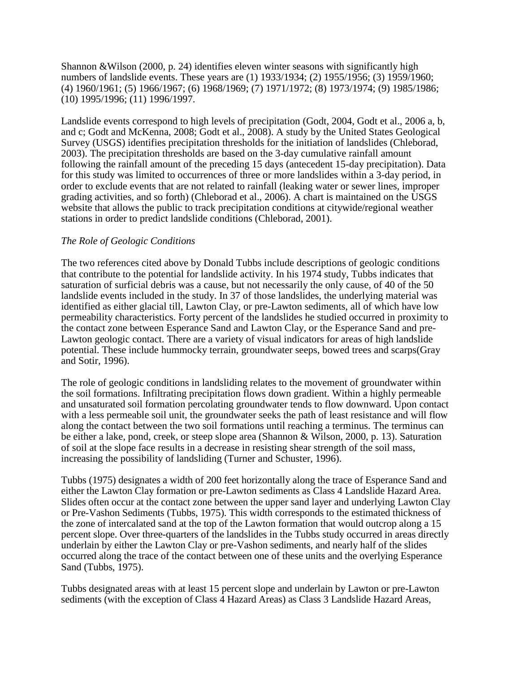Shannon &Wilson (2000, p. 24) identifies eleven winter seasons with significantly high numbers of landslide events. These years are (1) 1933/1934; (2) 1955/1956; (3) 1959/1960; (4) 1960/1961; (5) 1966/1967; (6) 1968/1969; (7) 1971/1972; (8) 1973/1974; (9) 1985/1986; (10) 1995/1996; (11) 1996/1997.

Landslide events correspond to high levels of precipitation (Godt, 2004, Godt et al., 2006 a, b, and c; Godt and McKenna, 2008; Godt et al., 2008). A study by the United States Geological Survey (USGS) identifies precipitation thresholds for the initiation of landslides (Chleborad, 2003). The precipitation thresholds are based on the 3-day cumulative rainfall amount following the rainfall amount of the preceding 15 days (antecedent 15-day precipitation). Data for this study was limited to occurrences of three or more landslides within a 3-day period, in order to exclude events that are not related to rainfall (leaking water or sewer lines, improper grading activities, and so forth) (Chleborad et al., 2006). A chart is maintained on the USGS website that allows the public to track precipitation conditions at citywide/regional weather stations in order to predict landslide conditions (Chleborad, 2001).

### *The Role of Geologic Conditions*

The two references cited above by Donald Tubbs include descriptions of geologic conditions that contribute to the potential for landslide activity. In his 1974 study, Tubbs indicates that saturation of surficial debris was a cause, but not necessarily the only cause, of 40 of the 50 landslide events included in the study. In 37 of those landslides, the underlying material was identified as either glacial till, Lawton Clay, or pre-Lawton sediments, all of which have low permeability characteristics. Forty percent of the landslides he studied occurred in proximity to the contact zone between Esperance Sand and Lawton Clay, or the Esperance Sand and pre-Lawton geologic contact. There are a variety of visual indicators for areas of high landslide potential. These include hummocky terrain, groundwater seeps, bowed trees and scarps(Gray and Sotir, 1996).

The role of geologic conditions in landsliding relates to the movement of groundwater within the soil formations. Infiltrating precipitation flows down gradient. Within a highly permeable and unsaturated soil formation percolating groundwater tends to flow downward. Upon contact with a less permeable soil unit, the groundwater seeks the path of least resistance and will flow along the contact between the two soil formations until reaching a terminus. The terminus can be either a lake, pond, creek, or steep slope area (Shannon & Wilson, 2000, p. 13). Saturation of soil at the slope face results in a decrease in resisting shear strength of the soil mass, increasing the possibility of landsliding (Turner and Schuster, 1996).

Tubbs (1975) designates a width of 200 feet horizontally along the trace of Esperance Sand and either the Lawton Clay formation or pre-Lawton sediments as Class 4 Landslide Hazard Area. Slides often occur at the contact zone between the upper sand layer and underlying Lawton Clay or Pre-Vashon Sediments (Tubbs, 1975). This width corresponds to the estimated thickness of the zone of intercalated sand at the top of the Lawton formation that would outcrop along a 15 percent slope. Over three-quarters of the landslides in the Tubbs study occurred in areas directly underlain by either the Lawton Clay or pre-Vashon sediments, and nearly half of the slides occurred along the trace of the contact between one of these units and the overlying Esperance Sand (Tubbs, 1975).

Tubbs designated areas with at least 15 percent slope and underlain by Lawton or pre-Lawton sediments (with the exception of Class 4 Hazard Areas) as Class 3 Landslide Hazard Areas,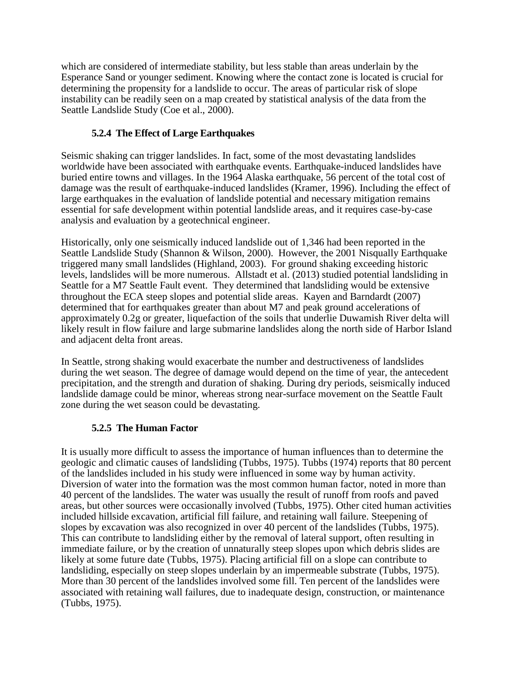which are considered of intermediate stability, but less stable than areas underlain by the Esperance Sand or younger sediment. Knowing where the contact zone is located is crucial for determining the propensity for a landslide to occur. The areas of particular risk of slope instability can be readily seen on a map created by statistical analysis of the data from the Seattle Landslide Study (Coe et al., 2000).

# **5.2.4 The Effect of Large Earthquakes**

Seismic shaking can trigger landslides. In fact, some of the most devastating landslides worldwide have been associated with earthquake events. Earthquake-induced landslides have buried entire towns and villages. In the 1964 Alaska earthquake, 56 percent of the total cost of damage was the result of earthquake-induced landslides (Kramer, 1996). Including the effect of large earthquakes in the evaluation of landslide potential and necessary mitigation remains essential for safe development within potential landslide areas, and it requires case-by-case analysis and evaluation by a geotechnical engineer.

Historically, only one seismically induced landslide out of 1,346 had been reported in the Seattle Landslide Study (Shannon & Wilson, 2000). However, the 2001 Nisqually Earthquake triggered many small landslides (Highland, 2003). For ground shaking exceeding historic levels, landslides will be more numerous. Allstadt et al. (2013) studied potential landsliding in Seattle for a M7 Seattle Fault event. They determined that landsliding would be extensive throughout the ECA steep slopes and potential slide areas. Kayen and Barndardt (2007) determined that for earthquakes greater than about M7 and peak ground accelerations of approximately 0.2g or greater, liquefaction of the soils that underlie Duwamish River delta will likely result in flow failure and large submarine landslides along the north side of Harbor Island and adjacent delta front areas.

In Seattle, strong shaking would exacerbate the number and destructiveness of landslides during the wet season. The degree of damage would depend on the time of year, the antecedent precipitation, and the strength and duration of shaking. During dry periods, seismically induced landslide damage could be minor, whereas strong near-surface movement on the Seattle Fault zone during the wet season could be devastating.

# **5.2.5 The Human Factor**

It is usually more difficult to assess the importance of human influences than to determine the geologic and climatic causes of landsliding (Tubbs, 1975). Tubbs (1974) reports that 80 percent of the landslides included in his study were influenced in some way by human activity. Diversion of water into the formation was the most common human factor, noted in more than 40 percent of the landslides. The water was usually the result of runoff from roofs and paved areas, but other sources were occasionally involved (Tubbs, 1975). Other cited human activities included hillside excavation, artificial fill failure, and retaining wall failure. Steepening of slopes by excavation was also recognized in over 40 percent of the landslides (Tubbs, 1975). This can contribute to landsliding either by the removal of lateral support, often resulting in immediate failure, or by the creation of unnaturally steep slopes upon which debris slides are likely at some future date (Tubbs, 1975). Placing artificial fill on a slope can contribute to landsliding, especially on steep slopes underlain by an impermeable substrate (Tubbs, 1975). More than 30 percent of the landslides involved some fill. Ten percent of the landslides were associated with retaining wall failures, due to inadequate design, construction, or maintenance (Tubbs, 1975).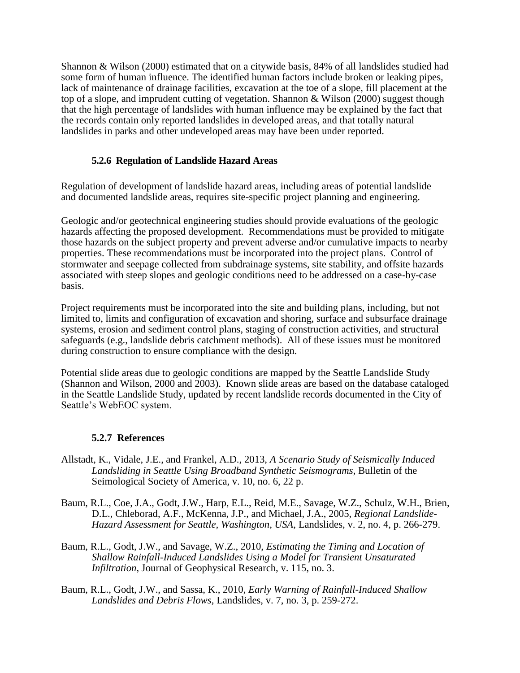Shannon & Wilson (2000) estimated that on a citywide basis, 84% of all landslides studied had some form of human influence. The identified human factors include broken or leaking pipes, lack of maintenance of drainage facilities, excavation at the toe of a slope, fill placement at the top of a slope, and imprudent cutting of vegetation. Shannon & Wilson (2000) suggest though that the high percentage of landslides with human influence may be explained by the fact that the records contain only reported landslides in developed areas, and that totally natural landslides in parks and other undeveloped areas may have been under reported.

### **5.2.6 Regulation of Landslide Hazard Areas**

Regulation of development of landslide hazard areas, including areas of potential landslide and documented landslide areas, requires site-specific project planning and engineering.

Geologic and/or geotechnical engineering studies should provide evaluations of the geologic hazards affecting the proposed development. Recommendations must be provided to mitigate those hazards on the subject property and prevent adverse and/or cumulative impacts to nearby properties. These recommendations must be incorporated into the project plans. Control of stormwater and seepage collected from subdrainage systems, site stability, and offsite hazards associated with steep slopes and geologic conditions need to be addressed on a case-by-case basis.

Project requirements must be incorporated into the site and building plans, including, but not limited to, limits and configuration of excavation and shoring, surface and subsurface drainage systems, erosion and sediment control plans, staging of construction activities, and structural safeguards (e.g., landslide debris catchment methods). All of these issues must be monitored during construction to ensure compliance with the design.

Potential slide areas due to geologic conditions are mapped by the Seattle Landslide Study (Shannon and Wilson, 2000 and 2003). Known slide areas are based on the database cataloged in the Seattle Landslide Study, updated by recent landslide records documented in the City of Seattle's WebEOC system.

### **5.2.7 References**

- Allstadt, K., Vidale, J.E., and Frankel, A.D., 2013, *A Scenario Study of Seismically Induced Landsliding in Seattle Using Broadband Synthetic Seismograms*, Bulletin of the Seimological Society of America, v. 10, no. 6, 22 p.
- Baum, R.L., Coe, J.A., Godt, J.W., Harp, E.L., Reid, M.E., Savage, W.Z., Schulz, W.H., Brien, D.L., Chleborad, A.F., McKenna, J.P., and Michael, J.A., 2005, *Regional Landslide-Hazard Assessment for Seattle, Washington, USA*, Landslides, v. 2, no. 4, p. 266-279.
- Baum, R.L., Godt, J.W., and Savage, W.Z., 2010, *Estimating the Timing and Location of Shallow Rainfall-Induced Landslides Using a Model for Transient Unsaturated Infiltration*, Journal of Geophysical Research, v. 115, no. 3.
- Baum, R.L., Godt, J.W., and Sassa, K., 2010*, Early Warning of Rainfall-Induced Shallow Landslides and Debris Flows*, Landslides, v. 7, no. 3, p. 259-272.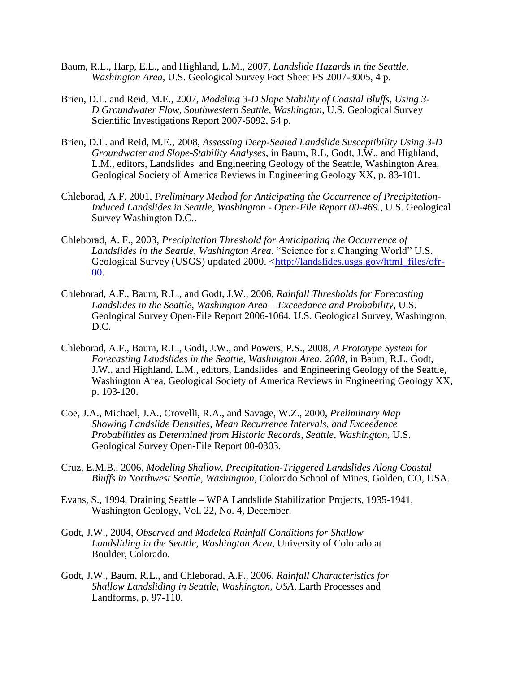- Baum, R.L., Harp, E.L., and Highland, L.M., 2007, *Landslide Hazards in the Seattle, Washington Area*, U.S. Geological Survey Fact Sheet FS 2007-3005, 4 p.
- Brien, D.L. and Reid, M.E., 2007, *Modeling 3-D Slope Stability of Coastal Bluffs, Using 3- D Groundwater Flow, Southwestern Seattle, Washington*, U.S. Geological Survey Scientific Investigations Report 2007-5092, 54 p.
- Brien, D.L. and Reid, M.E., 2008, *Assessing Deep-Seated Landslide Susceptibility Using 3-D Groundwater and Slope-Stability Analyses*, in Baum, R.L, Godt, J.W., and Highland, L.M., editors, Landslides and Engineering Geology of the Seattle, Washington Area, Geological Society of America Reviews in Engineering Geology XX, p. 83-101.
- Chleborad, A.F. 2001, *Preliminary Method for Anticipating the Occurrence of Precipitation-Induced Landslides in Seattle, Washington - Open-File Report 00-469.*, U.S. Geological Survey Washington D.C..
- Chleborad, A. F., 2003, *Precipitation Threshold for Anticipating the Occurrence of Landslides in the Seattle, Washington Area*. "Science for a Changing World" U.S. Geological Survey (USGS) updated 2000. [<http://landslides.usgs.gov/html\\_files/ofr-](http://landslides.usgs.gov/html_files/ofr-00-)[00.](http://landslides.usgs.gov/html_files/ofr-00-)
- Chleborad, A.F., Baum, R.L., and Godt, J.W., 2006, *Rainfall Thresholds for Forecasting Landslides in the Seattle, Washington Area – Exceedance and Probability*, U.S. Geological Survey Open-File Report 2006-1064, U.S. Geological Survey, Washington, D.C.
- Chleborad, A.F., Baum, R.L., Godt, J.W., and Powers, P.S., 2008, *A Prototype System for Forecasting Landslides in the Seattle, Washington Area, 2008*, in Baum, R.L, Godt, J.W., and Highland, L.M., editors, Landslides and Engineering Geology of the Seattle, Washington Area, Geological Society of America Reviews in Engineering Geology XX, p. 103-120.
- Coe, J.A., Michael, J.A., Crovelli, R.A., and Savage, W.Z., 2000, *Preliminary Map Showing Landslide Densities, Mean Recurrence Intervals, and Exceedence Probabilities as Determined from Historic Records, Seattle, Washington*, U.S. Geological Survey Open-File Report 00-0303.
- Cruz, E.M.B., 2006, *Modeling Shallow, Precipitation-Triggered Landslides Along Coastal Bluffs in Northwest Seattle, Washington*, Colorado School of Mines, Golden, CO, USA.
- Evans, S., 1994, Draining Seattle WPA Landslide Stabilization Projects, 1935-1941, Washington Geology, Vol. 22, No. 4, December.
- Godt, J.W., 2004, *Observed and Modeled Rainfall Conditions for Shallow Landsliding in the Seattle, Washington Area*, University of Colorado at Boulder, Colorado.
- Godt, J.W., Baum, R.L., and Chleborad, A.F., 2006*, Rainfall Characteristics for Shallow Landsliding in Seattle, Washington, USA*, Earth Processes and Landforms, p. 97-110.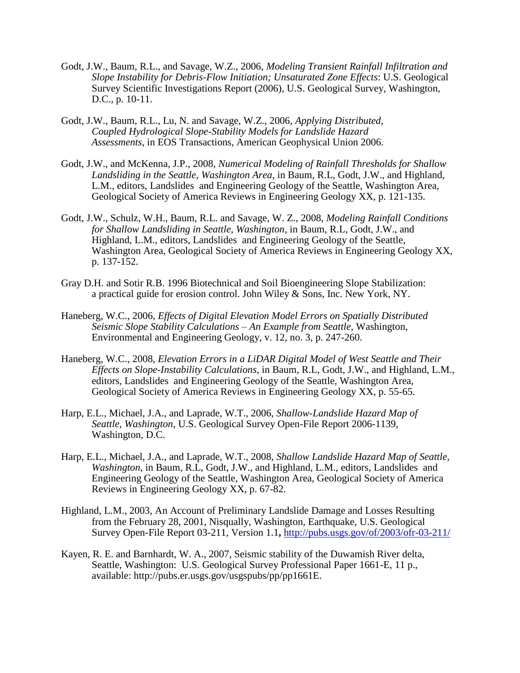- Godt, J.W., Baum, R.L., and Savage, W.Z., 2006, *Modeling Transient Rainfall Infiltration and Slope Instability for Debris-Flow Initiation; Unsaturated Zone Effects*: U.S. Geological Survey Scientific Investigations Report (2006), U.S. Geological Survey, Washington, D.C., p. 10-11.
- Godt, J.W., Baum, R.L., Lu, N. and Savage, W.Z., 2006, *Applying Distributed, Coupled Hydrological Slope-Stability Models for Landslide Hazard Assessments*, in EOS Transactions, American Geophysical Union 2006.
- Godt, J.W., and McKenna, J.P., 2008, *Numerical Modeling of Rainfall Thresholds for Shallow Landsliding in the Seattle, Washington Area*, in Baum, R.L, Godt, J.W., and Highland, L.M., editors, Landslides and Engineering Geology of the Seattle, Washington Area, Geological Society of America Reviews in Engineering Geology XX, p. 121-135.
- Godt, J.W., Schulz, W.H., Baum, R.L. and Savage, W. Z., 2008, *Modeling Rainfall Conditions for Shallow Landsliding in Seattle, Washington*, in Baum, R.L, Godt, J.W., and Highland, L.M., editors, Landslides and Engineering Geology of the Seattle, Washington Area, Geological Society of America Reviews in Engineering Geology XX, p. 137-152.
- Gray D.H. and Sotir R.B. 1996 Biotechnical and Soil Bioengineering Slope Stabilization: a practical guide for erosion control. John Wiley & Sons, Inc. New York, NY.
- Haneberg, W.C., 2006, *Effects of Digital Elevation Model Errors on Spatially Distributed Seismic Slope Stability Calculations – An Example from Seattle*, Washington, Environmental and Engineering Geology, v. 12, no. 3, p. 247-260.
- Haneberg, W.C., 2008, *Elevation Errors in a LiDAR Digital Model of West Seattle and Their Effects on Slope-Instability Calculations*, in Baum, R.L, Godt, J.W., and Highland, L.M., editors, Landslides and Engineering Geology of the Seattle, Washington Area, Geological Society of America Reviews in Engineering Geology XX, p. 55-65.
- Harp, E.L., Michael, J.A., and Laprade, W.T., 2006, *Shallow-Landslide Hazard Map of Seattle, Washington*, U.S. Geological Survey Open-File Report 2006-1139, Washington, D.C.
- Harp, E.L., Michael, J.A., and Laprade, W.T., 2008, *Shallow Landslide Hazard Map of Seattle, Washington*, in Baum, R.L, Godt, J.W., and Highland, L.M., editors, Landslides and Engineering Geology of the Seattle, Washington Area, Geological Society of America Reviews in Engineering Geology XX, p. 67-82.
- Highland, L.M., 2003, An Account of Preliminary Landslide Damage and Losses Resulting from the February 28, 2001, Nisqually, Washington, Earthquake, U.S. Geological Survey Open-File Report 03-211, Version 1.1**,** <http://pubs.usgs.gov/of/2003/ofr-03-211/>
- Kayen, R. E. and Barnhardt, W. A., 2007, Seismic stability of the Duwamish River delta, Seattle, Washington: U.S. Geological Survey Professional Paper 1661-E, 11 p., available: http://pubs.er.usgs.gov/usgspubs/pp/pp1661E.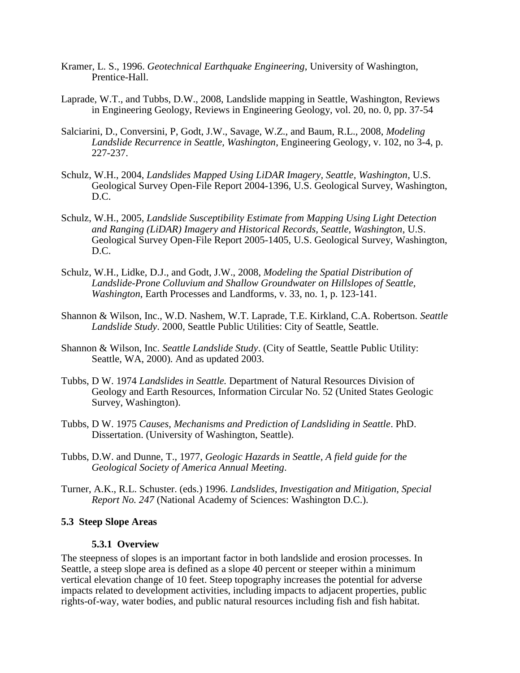- Kramer, L. S., 1996. *Geotechnical Earthquake Engineering*, University of Washington, Prentice-Hall.
- Laprade, W.T., and Tubbs, D.W., 2008, Landslide mapping in Seattle, Washington, Reviews in Engineering Geology, Reviews in Engineering Geology, vol. 20, no. 0, pp. 37-54
- Salciarini, D., Conversini, P, Godt, J.W., Savage, W.Z., and Baum, R.L., 2008, *Modeling Landslide Recurrence in Seattle, Washington*, Engineering Geology, v. 102, no 3-4, p. 227-237.
- Schulz, W.H., 2004, *Landslides Mapped Using LiDAR Imagery, Seattle, Washington*, U.S. Geological Survey Open-File Report 2004-1396, U.S. Geological Survey, Washington, D.C.
- Schulz, W.H., 2005*, Landslide Susceptibility Estimate from Mapping Using Light Detection and Ranging (LiDAR) Imagery and Historical Records, Seattle, Washington*, U.S. Geological Survey Open-File Report 2005-1405, U.S. Geological Survey, Washington, D.C.
- Schulz, W.H., Lidke, D.J., and Godt, J.W., 2008, *Modeling the Spatial Distribution of Landslide-Prone Colluvium and Shallow Groundwater on Hillslopes of Seattle, Washington*, Earth Processes and Landforms, v. 33, no. 1, p. 123-141.
- Shannon & Wilson, Inc., W.D. Nashem, W.T. Laprade, T.E. Kirkland, C.A. Robertson. *Seattle Landslide Study*. 2000, Seattle Public Utilities: City of Seattle, Seattle.
- Shannon & Wilson, Inc. *Seattle Landslide Study*. (City of Seattle, Seattle Public Utility: Seattle, WA, 2000). And as updated 2003.
- Tubbs, D W. 1974 *Landslides in Seattle.* Department of Natural Resources Division of Geology and Earth Resources, Information Circular No. 52 (United States Geologic Survey, Washington).
- Tubbs, D W. 1975 *Causes, Mechanisms and Prediction of Landsliding in Seattle*. PhD. Dissertation. (University of Washington, Seattle).
- Tubbs, D.W. and Dunne, T., 1977, *Geologic Hazards in Seattle, A field guide for the Geological Society of America Annual Meeting*.
- Turner, A.K., R.L. Schuster. (eds.) 1996. *Landslides, Investigation and Mitigation, Special Report No. 247* (National Academy of Sciences: Washington D.C.).

#### **5.3 Steep Slope Areas**

#### **5.3.1 Overview**

The steepness of slopes is an important factor in both landslide and erosion processes. In Seattle, a steep slope area is defined as a slope 40 percent or steeper within a minimum vertical elevation change of 10 feet. Steep topography increases the potential for adverse impacts related to development activities, including impacts to adjacent properties, public rights-of-way, water bodies, and public natural resources including fish and fish habitat.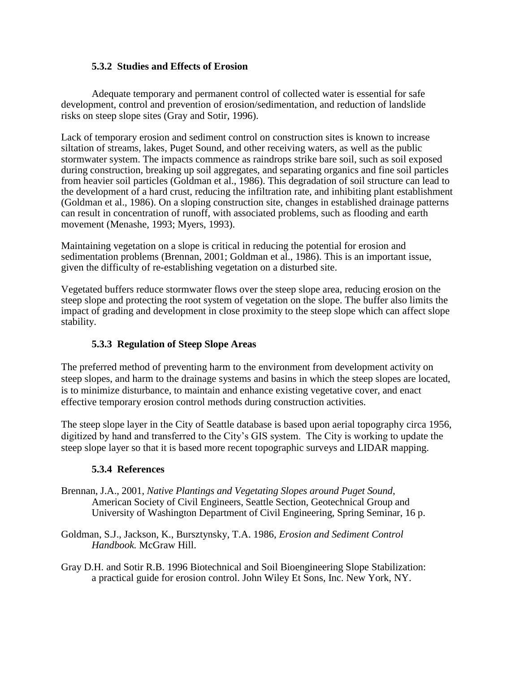### **5.3.2 Studies and Effects of Erosion**

Adequate temporary and permanent control of collected water is essential for safe development, control and prevention of erosion/sedimentation, and reduction of landslide risks on steep slope sites (Gray and Sotir, 1996).

Lack of temporary erosion and sediment control on construction sites is known to increase siltation of streams, lakes, Puget Sound, and other receiving waters, as well as the public stormwater system. The impacts commence as raindrops strike bare soil, such as soil exposed during construction, breaking up soil aggregates, and separating organics and fine soil particles from heavier soil particles (Goldman et al., 1986). This degradation of soil structure can lead to the development of a hard crust, reducing the infiltration rate, and inhibiting plant establishment (Goldman et al., 1986). On a sloping construction site, changes in established drainage patterns can result in concentration of runoff, with associated problems, such as flooding and earth movement (Menashe, 1993; Myers, 1993).

Maintaining vegetation on a slope is critical in reducing the potential for erosion and sedimentation problems (Brennan, 2001; Goldman et al., 1986). This is an important issue, given the difficulty of re-establishing vegetation on a disturbed site.

Vegetated buffers reduce stormwater flows over the steep slope area, reducing erosion on the steep slope and protecting the root system of vegetation on the slope. The buffer also limits the impact of grading and development in close proximity to the steep slope which can affect slope stability.

# **5.3.3 Regulation of Steep Slope Areas**

The preferred method of preventing harm to the environment from development activity on steep slopes, and harm to the drainage systems and basins in which the steep slopes are located, is to minimize disturbance, to maintain and enhance existing vegetative cover, and enact effective temporary erosion control methods during construction activities.

The steep slope layer in the City of Seattle database is based upon aerial topography circa 1956, digitized by hand and transferred to the City's GIS system. The City is working to update the steep slope layer so that it is based more recent topographic surveys and LIDAR mapping.

# **5.3.4 References**

- Brennan, J.A., 2001, *Native Plantings and Vegetating Slopes around Puget Sound*, American Society of Civil Engineers, Seattle Section, Geotechnical Group and University of Washington Department of Civil Engineering, Spring Seminar, 16 p.
- Goldman, S.J., Jackson, K., Bursztynsky, T.A. 1986, *Erosion and Sediment Control Handbook.* McGraw Hill.
- Gray D.H. and Sotir R.B. 1996 Biotechnical and Soil Bioengineering Slope Stabilization: a practical guide for erosion control. John Wiley Et Sons, Inc. New York, NY.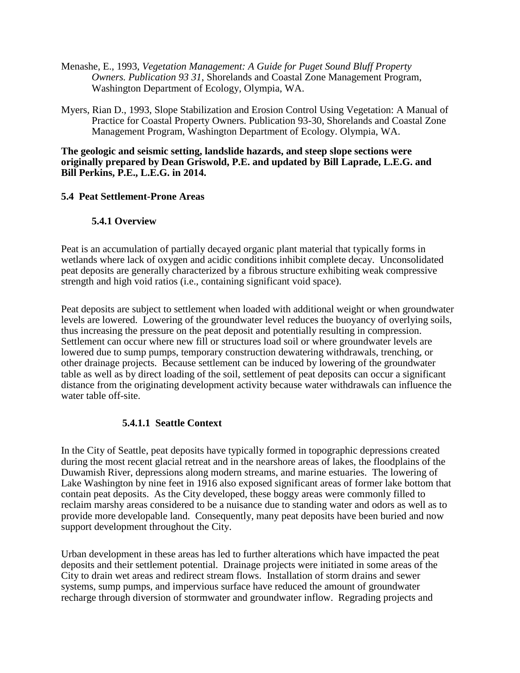- Menashe, E., 1993, *Vegetation Management: A Guide for Puget Sound Bluff Property Owners. Publication 93 31*, Shorelands and Coastal Zone Management Program, Washington Department of Ecology, Olympia, WA.
- Myers, Rian D., 1993, Slope Stabilization and Erosion Control Using Vegetation: A Manual of Practice for Coastal Property Owners. Publication 93-30, Shorelands and Coastal Zone Management Program, Washington Department of Ecology. Olympia, WA.

#### **The geologic and seismic setting, landslide hazards, and steep slope sections were originally prepared by Dean Griswold, P.E. and updated by Bill Laprade, L.E.G. and Bill Perkins, P.E., L.E.G. in 2014.**

### **5.4 Peat Settlement-Prone Areas**

### **5.4.1 Overview**

Peat is an accumulation of partially decayed organic plant material that typically forms in wetlands where lack of oxygen and acidic conditions inhibit complete decay. Unconsolidated peat deposits are generally characterized by a fibrous structure exhibiting weak compressive strength and high void ratios (i.e., containing significant void space).

Peat deposits are subject to settlement when loaded with additional weight or when groundwater levels are lowered. Lowering of the groundwater level reduces the buoyancy of overlying soils, thus increasing the pressure on the peat deposit and potentially resulting in compression. Settlement can occur where new fill or structures load soil or where groundwater levels are lowered due to sump pumps, temporary construction dewatering withdrawals, trenching, or other drainage projects. Because settlement can be induced by lowering of the groundwater table as well as by direct loading of the soil, settlement of peat deposits can occur a significant distance from the originating development activity because water withdrawals can influence the water table off-site.

# **5.4.1.1 Seattle Context**

In the City of Seattle, peat deposits have typically formed in topographic depressions created during the most recent glacial retreat and in the nearshore areas of lakes, the floodplains of the Duwamish River, depressions along modern streams, and marine estuaries. The lowering of Lake Washington by nine feet in 1916 also exposed significant areas of former lake bottom that contain peat deposits. As the City developed, these boggy areas were commonly filled to reclaim marshy areas considered to be a nuisance due to standing water and odors as well as to provide more developable land. Consequently, many peat deposits have been buried and now support development throughout the City.

Urban development in these areas has led to further alterations which have impacted the peat deposits and their settlement potential. Drainage projects were initiated in some areas of the City to drain wet areas and redirect stream flows. Installation of storm drains and sewer systems, sump pumps, and impervious surface have reduced the amount of groundwater recharge through diversion of stormwater and groundwater inflow. Regrading projects and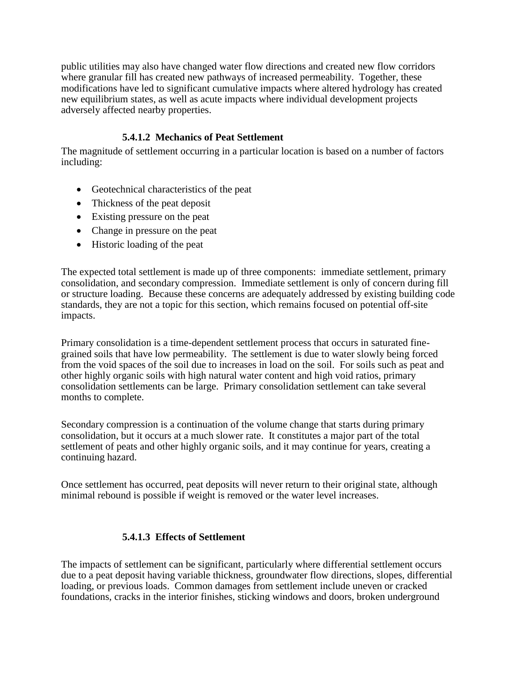public utilities may also have changed water flow directions and created new flow corridors where granular fill has created new pathways of increased permeability. Together, these modifications have led to significant cumulative impacts where altered hydrology has created new equilibrium states, as well as acute impacts where individual development projects adversely affected nearby properties.

# **5.4.1.2 Mechanics of Peat Settlement**

The magnitude of settlement occurring in a particular location is based on a number of factors including:

- Geotechnical characteristics of the peat
- Thickness of the peat deposit
- Existing pressure on the peat
- Change in pressure on the peat
- Historic loading of the peat

The expected total settlement is made up of three components: immediate settlement, primary consolidation, and secondary compression. Immediate settlement is only of concern during fill or structure loading. Because these concerns are adequately addressed by existing building code standards, they are not a topic for this section, which remains focused on potential off-site impacts.

Primary consolidation is a time-dependent settlement process that occurs in saturated finegrained soils that have low permeability. The settlement is due to water slowly being forced from the void spaces of the soil due to increases in load on the soil. For soils such as peat and other highly organic soils with high natural water content and high void ratios, primary consolidation settlements can be large. Primary consolidation settlement can take several months to complete.

Secondary compression is a continuation of the volume change that starts during primary consolidation, but it occurs at a much slower rate. It constitutes a major part of the total settlement of peats and other highly organic soils, and it may continue for years, creating a continuing hazard.

Once settlement has occurred, peat deposits will never return to their original state, although minimal rebound is possible if weight is removed or the water level increases.

# **5.4.1.3 Effects of Settlement**

The impacts of settlement can be significant, particularly where differential settlement occurs due to a peat deposit having variable thickness, groundwater flow directions, slopes, differential loading, or previous loads. Common damages from settlement include uneven or cracked foundations, cracks in the interior finishes, sticking windows and doors, broken underground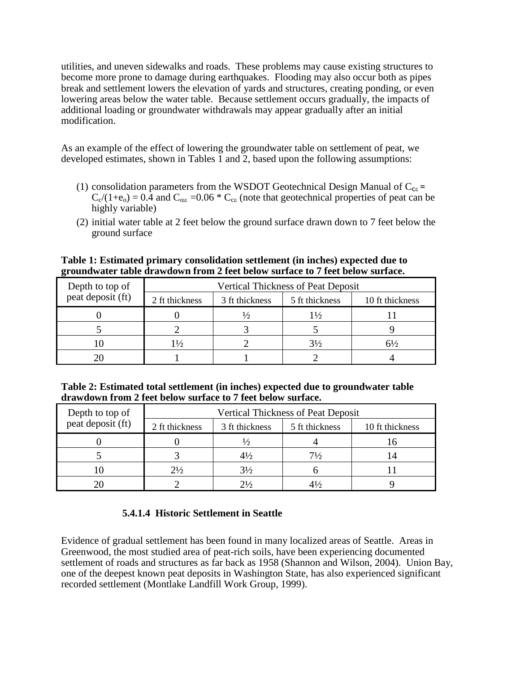utilities, and uneven sidewalks and roads. These problems may cause existing structures to become more prone to damage during earthquakes. Flooding may also occur both as pipes break and settlement lowers the elevation of yards and structures, creating ponding, or even lowering areas below the water table. Because settlement occurs gradually, the impacts of additional loading or groundwater withdrawals may appear gradually after an initial modification.

As an example of the effect of lowering the groundwater table on settlement of peat, we developed estimates, shown in Tables 1 and 2, based upon the following assumptions:

- (1) consolidation parameters from the WSDOT Geotechnical Design Manual of  $C_{\text{ce}}$  =  $C_c/(1+\epsilon_0) = 0.4$  and  $C_{\alpha\epsilon} = 0.06 * C_{\epsilon\epsilon}$  (note that geotechnical properties of peat can be highly variable)
- (2) initial water table at 2 feet below the ground surface drawn down to 7 feet below the ground surface

**Table 1: Estimated primary consolidation settlement (in inches) expected due to groundwater table drawdown from 2 feet below surface to 7 feet below surface.**

| Depth to top of   |                |                | <b>Vertical Thickness of Peat Deposit</b> |                 |
|-------------------|----------------|----------------|-------------------------------------------|-----------------|
| peat deposit (ft) | 2 ft thickness | 3 ft thickness | 5 ft thickness                            | 10 ft thickness |
|                   |                |                | $1\frac{1}{2}$                            |                 |
|                   |                |                |                                           |                 |
|                   | $1\frac{1}{2}$ |                | $3\frac{1}{2}$                            | $6\frac{1}{2}$  |
|                   |                |                |                                           |                 |

**Table 2: Estimated total settlement (in inches) expected due to groundwater table drawdown from 2 feet below surface to 7 feet below surface.**

| Depth to top of   |                |                | <b>Vertical Thickness of Peat Deposit</b> |                 |
|-------------------|----------------|----------------|-------------------------------------------|-----------------|
| peat deposit (ft) | 2 ft thickness | 3 ft thickness | 5 ft thickness                            | 10 ft thickness |
|                   |                |                |                                           |                 |
|                   |                | $4\frac{1}{2}$ | $7\frac{1}{2}$                            |                 |
|                   | $2\frac{1}{2}$ | 3½             |                                           |                 |
|                   |                | $2\frac{1}{2}$ |                                           |                 |

# **5.4.1.4 Historic Settlement in Seattle**

Evidence of gradual settlement has been found in many localized areas of Seattle. Areas in Greenwood, the most studied area of peat-rich soils, have been experiencing documented settlement of roads and structures as far back as 1958 (Shannon and Wilson, 2004). Union Bay, one of the deepest known peat deposits in Washington State, has also experienced significant recorded settlement (Montlake Landfill Work Group, 1999).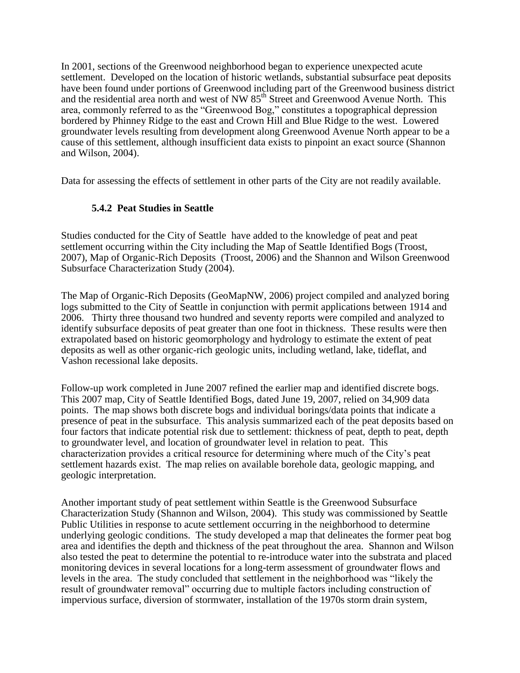In 2001, sections of the Greenwood neighborhood began to experience unexpected acute settlement. Developed on the location of historic wetlands, substantial subsurface peat deposits have been found under portions of Greenwood including part of the Greenwood business district and the residential area north and west of NW  $85<sup>th</sup>$  Street and Greenwood Avenue North. This area, commonly referred to as the "Greenwood Bog," constitutes a topographical depression bordered by Phinney Ridge to the east and Crown Hill and Blue Ridge to the west. Lowered groundwater levels resulting from development along Greenwood Avenue North appear to be a cause of this settlement, although insufficient data exists to pinpoint an exact source (Shannon and Wilson, 2004).

Data for assessing the effects of settlement in other parts of the City are not readily available.

### **5.4.2 Peat Studies in Seattle**

Studies conducted for the City of Seattle have added to the knowledge of peat and peat settlement occurring within the City including the Map of Seattle Identified Bogs (Troost, 2007), Map of Organic-Rich Deposits (Troost, 2006) and the Shannon and Wilson Greenwood Subsurface Characterization Study (2004).

The Map of Organic-Rich Deposits (GeoMapNW, 2006) project compiled and analyzed boring logs submitted to the City of Seattle in conjunction with permit applications between 1914 and 2006. Thirty three thousand two hundred and seventy reports were compiled and analyzed to identify subsurface deposits of peat greater than one foot in thickness. These results were then extrapolated based on historic geomorphology and hydrology to estimate the extent of peat deposits as well as other organic-rich geologic units, including wetland, lake, tideflat, and Vashon recessional lake deposits.

Follow-up work completed in June 2007 refined the earlier map and identified discrete bogs. This 2007 map, City of Seattle Identified Bogs, dated June 19, 2007, relied on 34,909 data points. The map shows both discrete bogs and individual borings/data points that indicate a presence of peat in the subsurface. This analysis summarized each of the peat deposits based on four factors that indicate potential risk due to settlement: thickness of peat, depth to peat, depth to groundwater level, and location of groundwater level in relation to peat. This characterization provides a critical resource for determining where much of the City's peat settlement hazards exist. The map relies on available borehole data, geologic mapping, and geologic interpretation.

Another important study of peat settlement within Seattle is the Greenwood Subsurface Characterization Study (Shannon and Wilson, 2004). This study was commissioned by Seattle Public Utilities in response to acute settlement occurring in the neighborhood to determine underlying geologic conditions. The study developed a map that delineates the former peat bog area and identifies the depth and thickness of the peat throughout the area. Shannon and Wilson also tested the peat to determine the potential to re-introduce water into the substrata and placed monitoring devices in several locations for a long-term assessment of groundwater flows and levels in the area. The study concluded that settlement in the neighborhood was "likely the result of groundwater removal" occurring due to multiple factors including construction of impervious surface, diversion of stormwater, installation of the 1970s storm drain system,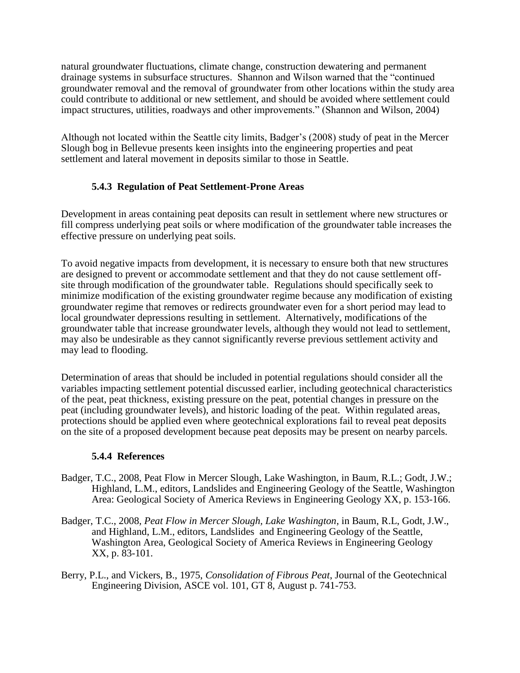natural groundwater fluctuations, climate change, construction dewatering and permanent drainage systems in subsurface structures. Shannon and Wilson warned that the "continued groundwater removal and the removal of groundwater from other locations within the study area could contribute to additional or new settlement, and should be avoided where settlement could impact structures, utilities, roadways and other improvements." (Shannon and Wilson, 2004)

Although not located within the Seattle city limits, Badger's (2008) study of peat in the Mercer Slough bog in Bellevue presents keen insights into the engineering properties and peat settlement and lateral movement in deposits similar to those in Seattle.

# **5.4.3 Regulation of Peat Settlement-Prone Areas**

Development in areas containing peat deposits can result in settlement where new structures or fill compress underlying peat soils or where modification of the groundwater table increases the effective pressure on underlying peat soils.

To avoid negative impacts from development, it is necessary to ensure both that new structures are designed to prevent or accommodate settlement and that they do not cause settlement offsite through modification of the groundwater table. Regulations should specifically seek to minimize modification of the existing groundwater regime because any modification of existing groundwater regime that removes or redirects groundwater even for a short period may lead to local groundwater depressions resulting in settlement. Alternatively, modifications of the groundwater table that increase groundwater levels, although they would not lead to settlement, may also be undesirable as they cannot significantly reverse previous settlement activity and may lead to flooding.

Determination of areas that should be included in potential regulations should consider all the variables impacting settlement potential discussed earlier, including geotechnical characteristics of the peat, peat thickness, existing pressure on the peat, potential changes in pressure on the peat (including groundwater levels), and historic loading of the peat. Within regulated areas, protections should be applied even where geotechnical explorations fail to reveal peat deposits on the site of a proposed development because peat deposits may be present on nearby parcels.

### **5.4.4 References**

- Badger, T.C., 2008, Peat Flow in Mercer Slough, Lake Washington, in Baum, R.L.; Godt, J.W.; Highland, L.M., editors, Landslides and Engineering Geology of the Seattle, Washington Area: Geological Society of America Reviews in Engineering Geology XX, p. 153-166.
- Badger, T.C., 2008*, Peat Flow in Mercer Slough, Lake Washington*, in Baum, R.L, Godt, J.W., and Highland, L.M., editors, Landslides and Engineering Geology of the Seattle, Washington Area, Geological Society of America Reviews in Engineering Geology XX, p. 83-101.
- Berry, P.L., and Vickers, B., 1975, *Consolidation of Fibrous Peat*, Journal of the Geotechnical Engineering Division, ASCE vol. 101, GT 8, August p. 741-753.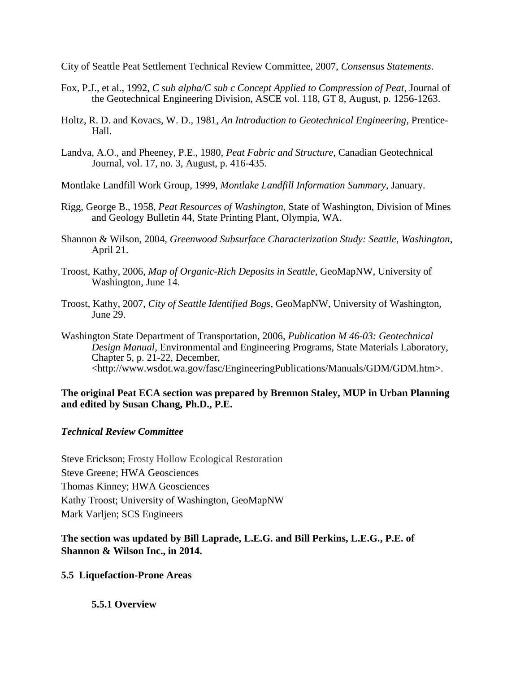City of Seattle Peat Settlement Technical Review Committee, 2007, *Consensus Statements*.

- Fox, P.J., et al., 1992, *C sub alpha/C sub c Concept Applied to Compression of Peat*, Journal of the Geotechnical Engineering Division, ASCE vol. 118, GT 8, August, p. 1256-1263.
- Holtz, R. D. and Kovacs, W. D., 1981, *An Introduction to Geotechnical Engineering*, Prentice-Hall.
- Landva, A.O., and Pheeney, P.E., 1980, *Peat Fabric and Structure*, Canadian Geotechnical Journal, vol. 17, no. 3, August, p. 416-435.
- Montlake Landfill Work Group, 1999, *Montlake Landfill Information Summary*, January.
- Rigg, George B., 1958, *Peat Resources of Washington*, State of Washington, Division of Mines and Geology Bulletin 44, State Printing Plant, Olympia, WA.
- Shannon & Wilson, 2004, *Greenwood Subsurface Characterization Study: Seattle, Washington*, April 21.
- Troost, Kathy, 2006, *Map of Organic-Rich Deposits in Seattle*, GeoMapNW, University of Washington, June 14.
- Troost, Kathy, 2007, *City of Seattle Identified Bogs*, GeoMapNW, University of Washington, June 29.
- Washington State Department of Transportation, 2006, *Publication M 46-03: Geotechnical Design Manual*, Environmental and Engineering Programs, State Materials Laboratory, Chapter 5, p. 21-22, December, <http://www.wsdot.wa.gov/fasc/EngineeringPublications/Manuals/GDM/GDM.htm>.

### **The original Peat ECA section was prepared by Brennon Staley, MUP in Urban Planning and edited by Susan Chang, Ph.D., P.E.**

### *Technical Review Committee*

Steve Erickson; Frosty Hollow Ecological Restoration Steve Greene; HWA Geosciences Thomas Kinney; HWA Geosciences Kathy Troost; University of Washington, GeoMapNW Mark Varljen; SCS Engineers

# **The section was updated by Bill Laprade, L.E.G. and Bill Perkins, L.E.G., P.E. of Shannon & Wilson Inc., in 2014.**

### **5.5 Liquefaction-Prone Areas**

# **5.5.1 Overview**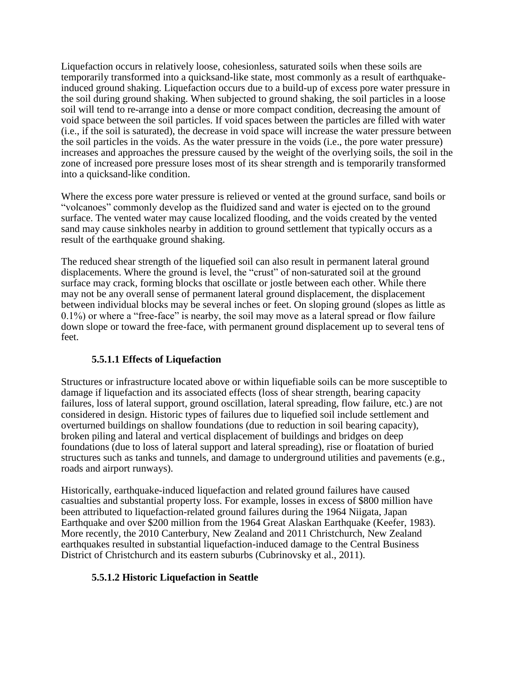Liquefaction occurs in relatively loose, cohesionless, saturated soils when these soils are temporarily transformed into a quicksand-like state, most commonly as a result of earthquakeinduced ground shaking. Liquefaction occurs due to a build-up of excess pore water pressure in the soil during ground shaking. When subjected to ground shaking, the soil particles in a loose soil will tend to re-arrange into a dense or more compact condition, decreasing the amount of void space between the soil particles. If void spaces between the particles are filled with water (i.e., if the soil is saturated), the decrease in void space will increase the water pressure between the soil particles in the voids. As the water pressure in the voids (i.e., the pore water pressure) increases and approaches the pressure caused by the weight of the overlying soils, the soil in the zone of increased pore pressure loses most of its shear strength and is temporarily transformed into a quicksand-like condition.

Where the excess pore water pressure is relieved or vented at the ground surface, sand boils or "volcanoes" commonly develop as the fluidized sand and water is ejected on to the ground surface. The vented water may cause localized flooding, and the voids created by the vented sand may cause sinkholes nearby in addition to ground settlement that typically occurs as a result of the earthquake ground shaking.

The reduced shear strength of the liquefied soil can also result in permanent lateral ground displacements. Where the ground is level, the "crust" of non-saturated soil at the ground surface may crack, forming blocks that oscillate or jostle between each other. While there may not be any overall sense of permanent lateral ground displacement, the displacement between individual blocks may be several inches or feet. On sloping ground (slopes as little as 0.1%) or where a "free-face" is nearby, the soil may move as a lateral spread or flow failure down slope or toward the free-face, with permanent ground displacement up to several tens of feet.

# **5.5.1.1 Effects of Liquefaction**

Structures or infrastructure located above or within liquefiable soils can be more susceptible to damage if liquefaction and its associated effects (loss of shear strength, bearing capacity failures, loss of lateral support, ground oscillation, lateral spreading, flow failure, etc.) are not considered in design. Historic types of failures due to liquefied soil include settlement and overturned buildings on shallow foundations (due to reduction in soil bearing capacity), broken piling and lateral and vertical displacement of buildings and bridges on deep foundations (due to loss of lateral support and lateral spreading), rise or floatation of buried structures such as tanks and tunnels, and damage to underground utilities and pavements (e.g., roads and airport runways).

Historically, earthquake-induced liquefaction and related ground failures have caused casualties and substantial property loss. For example, losses in excess of \$800 million have been attributed to liquefaction-related ground failures during the 1964 Niigata, Japan Earthquake and over \$200 million from the 1964 Great Alaskan Earthquake (Keefer, 1983). More recently, the 2010 Canterbury, New Zealand and 2011 Christchurch, New Zealand earthquakes resulted in substantial liquefaction-induced damage to the Central Business District of Christchurch and its eastern suburbs (Cubrinovsky et al., 2011).

# **5.5.1.2 Historic Liquefaction in Seattle**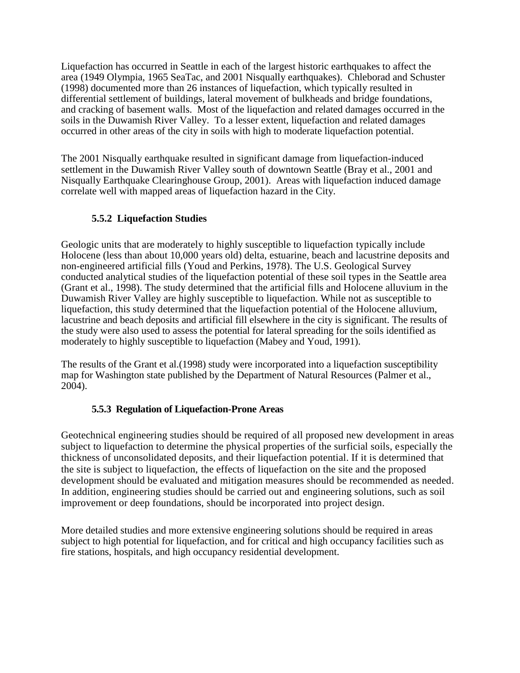Liquefaction has occurred in Seattle in each of the largest historic earthquakes to affect the area (1949 Olympia, 1965 SeaTac, and 2001 Nisqually earthquakes). Chleborad and Schuster (1998) documented more than 26 instances of liquefaction, which typically resulted in differential settlement of buildings, lateral movement of bulkheads and bridge foundations, and cracking of basement walls. Most of the liquefaction and related damages occurred in the soils in the Duwamish River Valley. To a lesser extent, liquefaction and related damages occurred in other areas of the city in soils with high to moderate liquefaction potential.

The 2001 Nisqually earthquake resulted in significant damage from liquefaction-induced settlement in the Duwamish River Valley south of downtown Seattle (Bray et al., 2001 and Nisqually Earthquake Clearinghouse Group, 2001). Areas with liquefaction induced damage correlate well with mapped areas of liquefaction hazard in the City.

# **5.5.2 Liquefaction Studies**

Geologic units that are moderately to highly susceptible to liquefaction typically include Holocene (less than about 10,000 years old) delta, estuarine, beach and lacustrine deposits and non-engineered artificial fills (Youd and Perkins, 1978). The U.S. Geological Survey conducted analytical studies of the liquefaction potential of these soil types in the Seattle area (Grant et al., 1998). The study determined that the artificial fills and Holocene alluvium in the Duwamish River Valley are highly susceptible to liquefaction. While not as susceptible to liquefaction, this study determined that the liquefaction potential of the Holocene alluvium, lacustrine and beach deposits and artificial fill elsewhere in the city is significant. The results of the study were also used to assess the potential for lateral spreading for the soils identified as moderately to highly susceptible to liquefaction (Mabey and Youd, 1991).

The results of the Grant et al.(1998) study were incorporated into a liquefaction susceptibility map for Washington state published by the Department of Natural Resources (Palmer et al., 2004).

# **5.5.3 Regulation of Liquefaction-Prone Areas**

Geotechnical engineering studies should be required of all proposed new development in areas subject to liquefaction to determine the physical properties of the surficial soils, especially the thickness of unconsolidated deposits, and their liquefaction potential. If it is determined that the site is subject to liquefaction, the effects of liquefaction on the site and the proposed development should be evaluated and mitigation measures should be recommended as needed. In addition, engineering studies should be carried out and engineering solutions, such as soil improvement or deep foundations, should be incorporated into project design.

More detailed studies and more extensive engineering solutions should be required in areas subject to high potential for liquefaction, and for critical and high occupancy facilities such as fire stations, hospitals, and high occupancy residential development.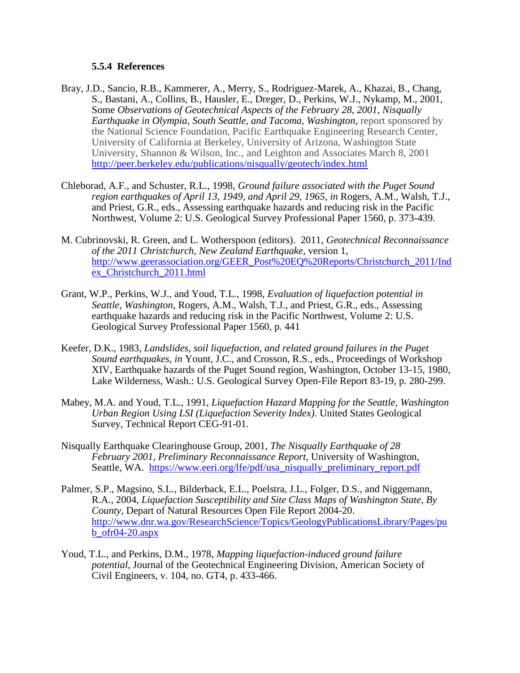#### **5.5.4 References**

- Bray, J.D., Sancio, R.B., Kammerer, A., Merry, S., Rodriguez-Marek, A., Khazai, B., Chang, S., Bastani, A., Collins, B., Hausler, E., Dreger, D., Perkins, W.J., Nykamp, M., 2001, Some *Observations of Geotechnical Aspects of the February 28, 2001, Nisqually Earthquake in Olympia, South Seattle, and Tacoma, Washington*, report sponsored by the National Science Foundation, Pacific Earthquake Engineering Research Center, University of California at Berkeley, University of Arizona, Washington State University, Shannon & Wilson, Inc., and Leighton and Associates March 8, 2001 <http://peer.berkeley.edu/publications/nisqually/geotech/index.html>
- Chleborad, A.F., and Schuster, R.L., 1998, *Ground failure associated with the Puget Sound region earthquakes of April 13, 1949, and April 29, 1965*, *in* Rogers, A.M., Walsh, T.J., and Priest, G.R., eds., Assessing earthquake hazards and reducing risk in the Pacific Northwest, Volume 2: U.S. Geological Survey Professional Paper 1560, p. 373-439.
- M. Cubrinovski, R. Green, and L. Wotherspoon (editors). 2011, *Geotechnical Reconnaissance of the 2011 Christchurch, New Zealand Earthquake*, version 1, [http://www.geerassociation.org/GEER\\_Post%20EQ%20Reports/Christchurch\\_2011/Ind](http://www.geerassociation.org/GEER_Post%20EQ%20Reports/Christchurch_2011/Index_Christchurch_2011.html) [ex\\_Christchurch\\_2011.html](http://www.geerassociation.org/GEER_Post%20EQ%20Reports/Christchurch_2011/Index_Christchurch_2011.html)
- Grant, W.P., Perkins, W.J., and Youd, T.L., 1998, *Evaluation of liquefaction potential in Seattle, Washington*, Rogers, A.M., Walsh, T.J., and Priest, G.R., eds., Assessing earthquake hazards and reducing risk in the Pacific Northwest, Volume 2: U.S. Geological Survey Professional Paper 1560, p. 441
- Keefer, D.K., 1983, *Landslides, soil liquefaction, and related ground failures in the Puget Sound earthquakes, in* Yount, J.C., and Crosson, R.S., eds., Proceedings of Workshop XIV, Earthquake hazards of the Puget Sound region, Washington, October 13-15, 1980, Lake Wilderness, Wash.: U.S. Geological Survey Open-File Report 83-19, p. 280-299.
- Mabey, M.A. and Youd, T.L., 1991, *Liquefaction Hazard Mapping for the Seattle, Washington Urban Region Using LSI (Liquefaction Severity Index)*. United States Geological Survey, Technical Report CEG-91-01.
- Nisqually Earthquake Clearinghouse Group, 2001, *The Nisqually Earthquake of 28 February 2001, Preliminary Reconnaissance Report*, University of Washington, Seattle, WA. [https://www.eeri.org/lfe/pdf/usa\\_nisqually\\_preliminary\\_report.pdf](https://www.eeri.org/lfe/pdf/usa_nisqually_preliminary_report.pdf)
- Palmer, S.P., Magsino, S.L., Bilderback, E.L., Poelstra, J.L., Folger, D.S., and Niggemann, R.A., 2004, *Liquefaction Susceptibility and Site Class Maps of Washington State, By County*, Depart of Natural Resources Open File Report 2004-20. [http://www.dnr.wa.gov/ResearchScience/Topics/GeologyPublicationsLibrary/Pages/pu](http://www.dnr.wa.gov/ResearchScience/Topics/GeologyPublicationsLibrary/Pages/pub_ofr04-20.aspx)  $b_$ ofr04-20.aspx
- Youd, T.L., and Perkins, D.M., 1978, *Mapping liquefaction-induced ground failure potential*, Journal of the Geotechnical Engineering Division, American Society of Civil Engineers, v. 104, no. GT4, p. 433-466.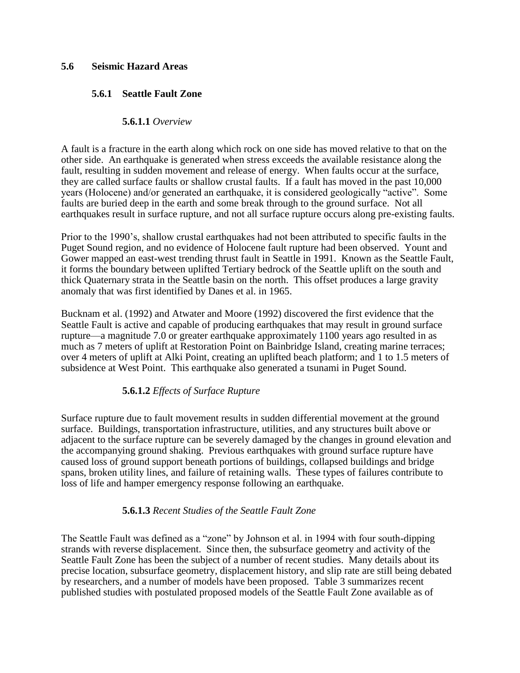### **5.6 Seismic Hazard Areas**

### **5.6.1 Seattle Fault Zone**

### **5.6.1.1** *Overview*

A fault is a fracture in the earth along which rock on one side has moved relative to that on the other side. An earthquake is generated when stress exceeds the available resistance along the fault, resulting in sudden movement and release of energy. When faults occur at the surface, they are called surface faults or shallow crustal faults. If a fault has moved in the past 10,000 years (Holocene) and/or generated an earthquake, it is considered geologically "active". Some faults are buried deep in the earth and some break through to the ground surface. Not all earthquakes result in surface rupture, and not all surface rupture occurs along pre-existing faults.

Prior to the 1990's, shallow crustal earthquakes had not been attributed to specific faults in the Puget Sound region, and no evidence of Holocene fault rupture had been observed. Yount and Gower mapped an east-west trending thrust fault in Seattle in 1991. Known as the Seattle Fault, it forms the boundary between uplifted Tertiary bedrock of the Seattle uplift on the south and thick Quaternary strata in the Seattle basin on the north. This offset produces a large gravity anomaly that was first identified by Danes et al. in 1965.

Bucknam et al. (1992) and Atwater and Moore (1992) discovered the first evidence that the Seattle Fault is active and capable of producing earthquakes that may result in ground surface rupture—a magnitude 7.0 or greater earthquake approximately 1100 years ago resulted in as much as 7 meters of uplift at Restoration Point on Bainbridge Island, creating marine terraces; over 4 meters of uplift at Alki Point, creating an uplifted beach platform; and 1 to 1.5 meters of subsidence at West Point. This earthquake also generated a tsunami in Puget Sound.

# **5.6.1.2** *Effects of Surface Rupture*

Surface rupture due to fault movement results in sudden differential movement at the ground surface. Buildings, transportation infrastructure, utilities, and any structures built above or adjacent to the surface rupture can be severely damaged by the changes in ground elevation and the accompanying ground shaking. Previous earthquakes with ground surface rupture have caused loss of ground support beneath portions of buildings, collapsed buildings and bridge spans, broken utility lines, and failure of retaining walls. These types of failures contribute to loss of life and hamper emergency response following an earthquake.

### **5.6.1.3** *Recent Studies of the Seattle Fault Zone*

The Seattle Fault was defined as a "zone" by Johnson et al. in 1994 with four south-dipping strands with reverse displacement. Since then, the subsurface geometry and activity of the Seattle Fault Zone has been the subject of a number of recent studies. Many details about its precise location, subsurface geometry, displacement history, and slip rate are still being debated by researchers, and a number of models have been proposed. Table 3 summarizes recent published studies with postulated proposed models of the Seattle Fault Zone available as of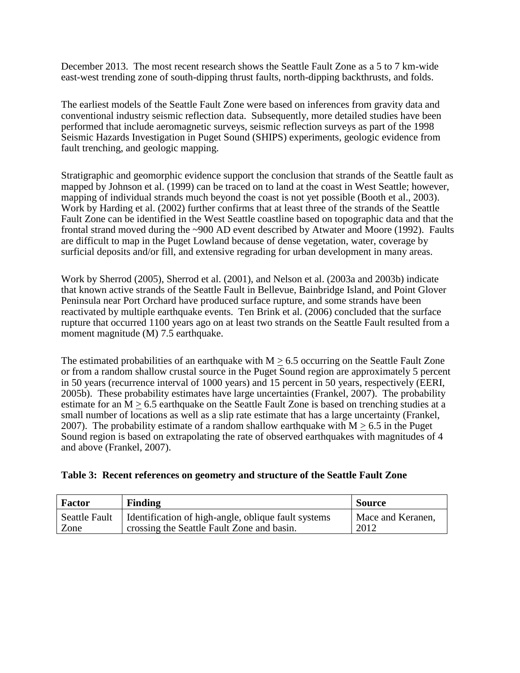December 2013. The most recent research shows the Seattle Fault Zone as a 5 to 7 km-wide east-west trending zone of south-dipping thrust faults, north-dipping backthrusts, and folds.

The earliest models of the Seattle Fault Zone were based on inferences from gravity data and conventional industry seismic reflection data. Subsequently, more detailed studies have been performed that include aeromagnetic surveys, seismic reflection surveys as part of the 1998 Seismic Hazards Investigation in Puget Sound (SHIPS) experiments, geologic evidence from fault trenching, and geologic mapping.

Stratigraphic and geomorphic evidence support the conclusion that strands of the Seattle fault as mapped by Johnson et al. (1999) can be traced on to land at the coast in West Seattle; however, mapping of individual strands much beyond the coast is not yet possible (Booth et al., 2003). Work by Harding et al. (2002) further confirms that at least three of the strands of the Seattle Fault Zone can be identified in the West Seattle coastline based on topographic data and that the frontal strand moved during the ~900 AD event described by Atwater and Moore (1992). Faults are difficult to map in the Puget Lowland because of dense vegetation, water, coverage by surficial deposits and/or fill, and extensive regrading for urban development in many areas.

Work by Sherrod (2005), Sherrod et al. (2001), and Nelson et al. (2003a and 2003b) indicate that known active strands of the Seattle Fault in Bellevue, Bainbridge Island, and Point Glover Peninsula near Port Orchard have produced surface rupture, and some strands have been reactivated by multiple earthquake events. Ten Brink et al. (2006) concluded that the surface rupture that occurred 1100 years ago on at least two strands on the Seattle Fault resulted from a moment magnitude (M) 7.5 earthquake.

The estimated probabilities of an earthquake with  $M > 6.5$  occurring on the Seattle Fault Zone or from a random shallow crustal source in the Puget Sound region are approximately 5 percent in 50 years (recurrence interval of 1000 years) and 15 percent in 50 years, respectively (EERI, 2005b). These probability estimates have large uncertainties (Frankel, 2007). The probability estimate for an  $M > 6.5$  earthquake on the Seattle Fault Zone is based on trenching studies at a small number of locations as well as a slip rate estimate that has a large uncertainty (Frankel, 2007). The probability estimate of a random shallow earthquake with  $M > 6.5$  in the Puget Sound region is based on extrapolating the rate of observed earthquakes with magnitudes of 4 and above (Frankel, 2007).

| Table 3: Recent references on geometry and structure of the Seattle Fault Zone |  |  |  |  |  |  |
|--------------------------------------------------------------------------------|--|--|--|--|--|--|
|--------------------------------------------------------------------------------|--|--|--|--|--|--|

| <b>Factor</b>        | <b>Finding</b>                                      | <b>Source</b>     |
|----------------------|-----------------------------------------------------|-------------------|
| <b>Seattle Fault</b> | Identification of high-angle, oblique fault systems | Mace and Keranen, |
| Zone                 | crossing the Seattle Fault Zone and basin.          | 2012              |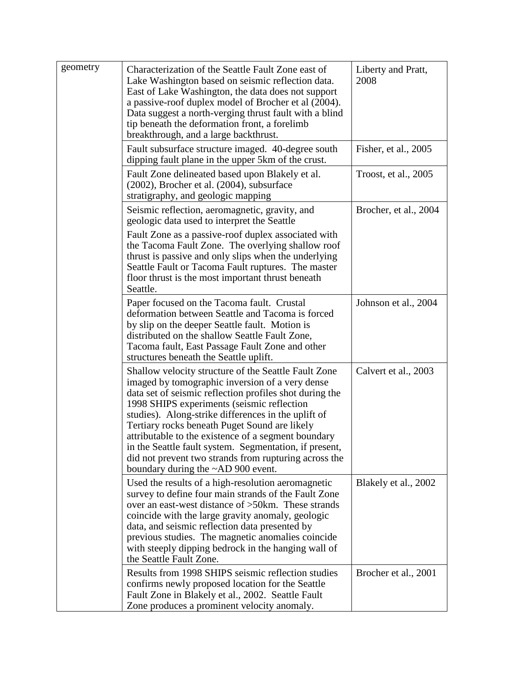| geometry | Characterization of the Seattle Fault Zone east of<br>Lake Washington based on seismic reflection data.<br>East of Lake Washington, the data does not support<br>a passive-roof duplex model of Brocher et al (2004).<br>Data suggest a north-verging thrust fault with a blind<br>tip beneath the deformation front, a forelimb<br>breakthrough, and a large backthrust.                                                                                                                                                                      | Liberty and Pratt,<br>2008 |
|----------|------------------------------------------------------------------------------------------------------------------------------------------------------------------------------------------------------------------------------------------------------------------------------------------------------------------------------------------------------------------------------------------------------------------------------------------------------------------------------------------------------------------------------------------------|----------------------------|
|          | Fault subsurface structure imaged. 40-degree south<br>dipping fault plane in the upper 5km of the crust.                                                                                                                                                                                                                                                                                                                                                                                                                                       | Fisher, et al., 2005       |
|          | Fault Zone delineated based upon Blakely et al.<br>(2002), Brocher et al. (2004), subsurface<br>stratigraphy, and geologic mapping                                                                                                                                                                                                                                                                                                                                                                                                             | Troost, et al., 2005       |
|          | Seismic reflection, aeromagnetic, gravity, and<br>geologic data used to interpret the Seattle                                                                                                                                                                                                                                                                                                                                                                                                                                                  | Brocher, et al., 2004      |
|          | Fault Zone as a passive-roof duplex associated with<br>the Tacoma Fault Zone. The overlying shallow roof<br>thrust is passive and only slips when the underlying<br>Seattle Fault or Tacoma Fault ruptures. The master<br>floor thrust is the most important thrust beneath<br>Seattle.                                                                                                                                                                                                                                                        |                            |
|          | Paper focused on the Tacoma fault. Crustal<br>deformation between Seattle and Tacoma is forced<br>by slip on the deeper Seattle fault. Motion is<br>distributed on the shallow Seattle Fault Zone,<br>Tacoma fault, East Passage Fault Zone and other<br>structures beneath the Seattle uplift.                                                                                                                                                                                                                                                | Johnson et al., 2004       |
|          | Shallow velocity structure of the Seattle Fault Zone<br>imaged by tomographic inversion of a very dense<br>data set of seismic reflection profiles shot during the<br>1998 SHIPS experiments (seismic reflection<br>studies). Along-strike differences in the uplift of<br>Tertiary rocks beneath Puget Sound are likely<br>attributable to the existence of a segment boundary<br>in the Seattle fault system. Segmentation, if present,<br>did not prevent two strands from rupturing across the<br>boundary during the $\sim$ AD 900 event. | Calvert et al., 2003       |
|          | Used the results of a high-resolution aeromagnetic<br>survey to define four main strands of the Fault Zone<br>over an east-west distance of >50km. These strands<br>coincide with the large gravity anomaly, geologic<br>data, and seismic reflection data presented by<br>previous studies. The magnetic anomalies coincide<br>with steeply dipping bedrock in the hanging wall of<br>the Seattle Fault Zone.                                                                                                                                 | Blakely et al., 2002       |
|          | Results from 1998 SHIPS seismic reflection studies<br>confirms newly proposed location for the Seattle<br>Fault Zone in Blakely et al., 2002. Seattle Fault<br>Zone produces a prominent velocity anomaly.                                                                                                                                                                                                                                                                                                                                     | Brocher et al., 2001       |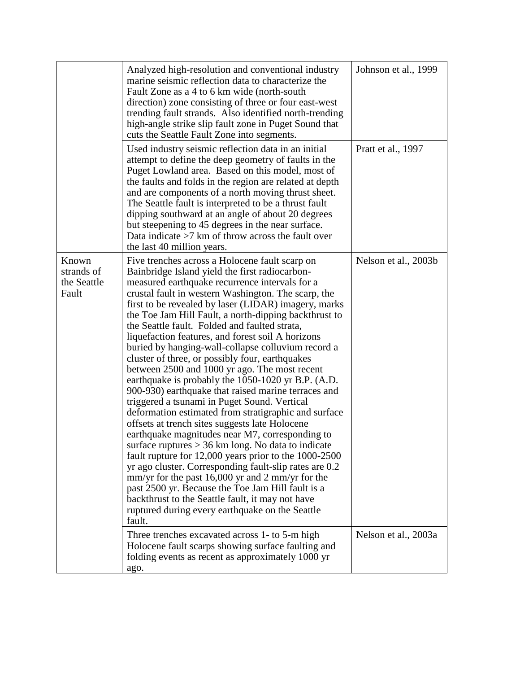|                                             | Analyzed high-resolution and conventional industry<br>marine seismic reflection data to characterize the<br>Fault Zone as a 4 to 6 km wide (north-south)<br>direction) zone consisting of three or four east-west<br>trending fault strands. Also identified north-trending<br>high-angle strike slip fault zone in Puget Sound that<br>cuts the Seattle Fault Zone into segments.                                                                                                                                                                                                                                                                                                                                                                                                                                                                                                                                                                                                                                                                                                                                                                                                                                                                                                                                                 | Johnson et al., 1999 |
|---------------------------------------------|------------------------------------------------------------------------------------------------------------------------------------------------------------------------------------------------------------------------------------------------------------------------------------------------------------------------------------------------------------------------------------------------------------------------------------------------------------------------------------------------------------------------------------------------------------------------------------------------------------------------------------------------------------------------------------------------------------------------------------------------------------------------------------------------------------------------------------------------------------------------------------------------------------------------------------------------------------------------------------------------------------------------------------------------------------------------------------------------------------------------------------------------------------------------------------------------------------------------------------------------------------------------------------------------------------------------------------|----------------------|
|                                             | Used industry seismic reflection data in an initial<br>attempt to define the deep geometry of faults in the<br>Puget Lowland area. Based on this model, most of<br>the faults and folds in the region are related at depth<br>and are components of a north moving thrust sheet.<br>The Seattle fault is interpreted to be a thrust fault<br>dipping southward at an angle of about 20 degrees<br>but steepening to 45 degrees in the near surface.<br>Data indicate $>7$ km of throw across the fault over<br>the last 40 million years.                                                                                                                                                                                                                                                                                                                                                                                                                                                                                                                                                                                                                                                                                                                                                                                          | Pratt et al., 1997   |
| Known<br>strands of<br>the Seattle<br>Fault | Five trenches across a Holocene fault scarp on<br>Bainbridge Island yield the first radiocarbon-<br>measured earthquake recurrence intervals for a<br>crustal fault in western Washington. The scarp, the<br>first to be revealed by laser (LIDAR) imagery, marks<br>the Toe Jam Hill Fault, a north-dipping backthrust to<br>the Seattle fault. Folded and faulted strata,<br>liquefaction features, and forest soil A horizons<br>buried by hanging-wall-collapse colluvium record a<br>cluster of three, or possibly four, earthquakes<br>between 2500 and 1000 yr ago. The most recent<br>earthquake is probably the 1050-1020 yr B.P. (A.D.<br>900-930) earthquake that raised marine terraces and<br>triggered a tsunami in Puget Sound. Vertical<br>deformation estimated from stratigraphic and surface<br>offsets at trench sites suggests late Holocene<br>earthquake magnitudes near M7, corresponding to<br>surface ruptures $> 36$ km long. No data to indicate<br>fault rupture for 12,000 years prior to the 1000-2500<br>yr ago cluster. Corresponding fault-slip rates are 0.2<br>$\text{mm/yr}$ for the past 16,000 yr and 2 mm/yr for the<br>past 2500 yr. Because the Toe Jam Hill fault is a<br>backthrust to the Seattle fault, it may not have<br>ruptured during every earthquake on the Seattle<br>fault. | Nelson et al., 2003b |
|                                             | Three trenches excavated across 1- to 5-m high<br>Holocene fault scarps showing surface faulting and<br>folding events as recent as approximately 1000 yr<br>ago.                                                                                                                                                                                                                                                                                                                                                                                                                                                                                                                                                                                                                                                                                                                                                                                                                                                                                                                                                                                                                                                                                                                                                                  | Nelson et al., 2003a |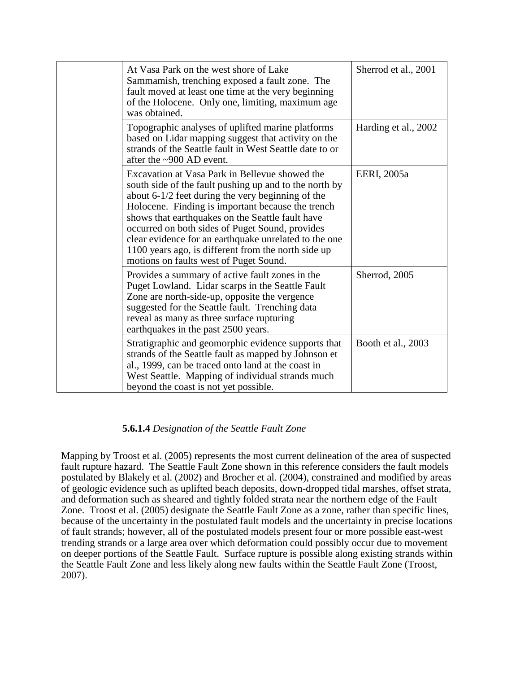| At Vasa Park on the west shore of Lake<br>Sammamish, trenching exposed a fault zone. The<br>fault moved at least one time at the very beginning<br>of the Holocene. Only one, limiting, maximum age<br>was obtained.                                                                                                                                                                                                                                                                  | Sherrod et al., 2001 |
|---------------------------------------------------------------------------------------------------------------------------------------------------------------------------------------------------------------------------------------------------------------------------------------------------------------------------------------------------------------------------------------------------------------------------------------------------------------------------------------|----------------------|
| Topographic analyses of uplifted marine platforms<br>based on Lidar mapping suggest that activity on the<br>strands of the Seattle fault in West Seattle date to or<br>after the $\sim$ 900 AD event.                                                                                                                                                                                                                                                                                 | Harding et al., 2002 |
| Excavation at Vasa Park in Bellevue showed the<br>south side of the fault pushing up and to the north by<br>about $6-1/2$ feet during the very beginning of the<br>Holocene. Finding is important because the trench<br>shows that earthquakes on the Seattle fault have<br>occurred on both sides of Puget Sound, provides<br>clear evidence for an earthquake unrelated to the one<br>1100 years ago, is different from the north side up<br>motions on faults west of Puget Sound. | EERI, 2005a          |
| Provides a summary of active fault zones in the<br>Puget Lowland. Lidar scarps in the Seattle Fault<br>Zone are north-side-up, opposite the vergence<br>suggested for the Seattle fault. Trenching data<br>reveal as many as three surface rupturing<br>earthquakes in the past 2500 years.                                                                                                                                                                                           | Sherrod, 2005        |
| Stratigraphic and geomorphic evidence supports that<br>strands of the Seattle fault as mapped by Johnson et<br>al., 1999, can be traced onto land at the coast in<br>West Seattle. Mapping of individual strands much<br>beyond the coast is not yet possible.                                                                                                                                                                                                                        | Booth et al., 2003   |

# **5.6.1.4** *Designation of the Seattle Fault Zone*

Mapping by Troost et al. (2005) represents the most current delineation of the area of suspected fault rupture hazard. The Seattle Fault Zone shown in this reference considers the fault models postulated by Blakely et al. (2002) and Brocher et al. (2004), constrained and modified by areas of geologic evidence such as uplifted beach deposits, down-dropped tidal marshes, offset strata, and deformation such as sheared and tightly folded strata near the northern edge of the Fault Zone. Troost et al. (2005) designate the Seattle Fault Zone as a zone, rather than specific lines, because of the uncertainty in the postulated fault models and the uncertainty in precise locations of fault strands; however, all of the postulated models present four or more possible east-west trending strands or a large area over which deformation could possibly occur due to movement on deeper portions of the Seattle Fault. Surface rupture is possible along existing strands within the Seattle Fault Zone and less likely along new faults within the Seattle Fault Zone (Troost, 2007).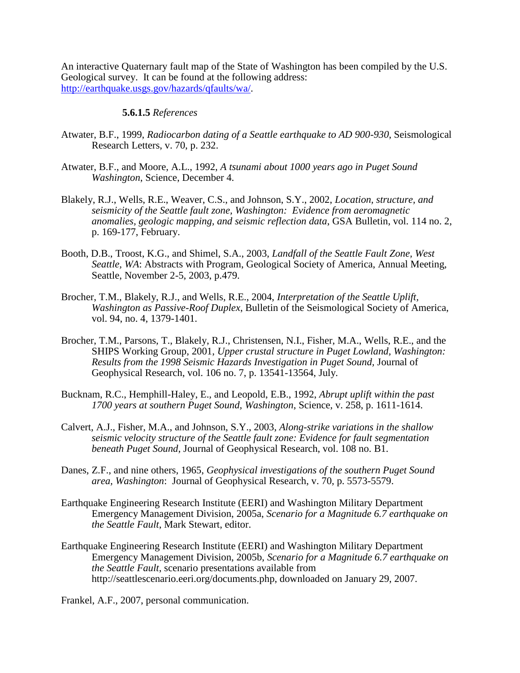An interactive Quaternary fault map of the State of Washington has been compiled by the U.S. Geological survey. It can be found at the following address: [http://earthquake.usgs.gov/hazards/qfaults/wa/.](http://earthquake.usgs.gov/hazards/qfaults/wa/)

#### **5.6.1.5** *References*

- Atwater, B.F., 1999, *Radiocarbon dating of a Seattle earthquake to AD 900-930*, Seismological Research Letters, v. 70, p. 232.
- Atwater, B.F., and Moore, A.L., 1992, *A tsunami about 1000 years ago in Puget Sound Washington*, Science, December 4.
- Blakely, R.J., Wells, R.E., Weaver, C.S., and Johnson, S.Y., 2002, *Location, structure, and seismicity of the Seattle fault zone, Washington: Evidence from aeromagnetic anomalies, geologic mapping, and seismic reflection data*, GSA Bulletin, vol. 114 no. 2, p. 169-177, February.
- Booth, D.B., Troost, K.G., and Shimel, S.A., 2003, *Landfall of the Seattle Fault Zone, West Seattle, WA*: Abstracts with Program, Geological Society of America, Annual Meeting, Seattle, November 2-5, 2003, p.479.
- Brocher, T.M., Blakely, R.J., and Wells, R.E., 2004, *Interpretation of the Seattle Uplift, Washington as Passive-Roof Duplex*, Bulletin of the Seismological Society of America, vol. 94, no. 4, 1379-1401.
- Brocher, T.M., Parsons, T., Blakely, R.J., Christensen, N.I., Fisher, M.A., Wells, R.E., and the SHIPS Working Group, 2001, *Upper crustal structure in Puget Lowland, Washington: Results from the 1998 Seismic Hazards Investigation in Puget Sound,* Journal of Geophysical Research, vol. 106 no. 7, p. 13541-13564, July.
- Bucknam, R.C., Hemphill-Haley, E., and Leopold, E.B., 1992, *Abrupt uplift within the past 1700 years at southern Puget Sound, Washington*, Science, v. 258, p. 1611-1614.
- Calvert, A.J., Fisher, M.A., and Johnson, S.Y., 2003, *Along-strike variations in the shallow seismic velocity structure of the Seattle fault zone: Evidence for fault segmentation beneath Puget Sound*, Journal of Geophysical Research, vol. 108 no. B1.
- Danes, Z.F., and nine others, 1965, *Geophysical investigations of the southern Puget Sound area, Washington*: Journal of Geophysical Research, v. 70, p. 5573-5579.
- Earthquake Engineering Research Institute (EERI) and Washington Military Department Emergency Management Division, 2005a, *Scenario for a Magnitude 6.7 earthquake on the Seattle Fault*, Mark Stewart, editor.
- Earthquake Engineering Research Institute (EERI) and Washington Military Department Emergency Management Division, 2005b, *Scenario for a Magnitude 6.7 earthquake on the Seattle Fault*, scenario presentations available from http://seattlescenario.eeri.org/documents.php, downloaded on January 29, 2007.

Frankel, A.F., 2007, personal communication.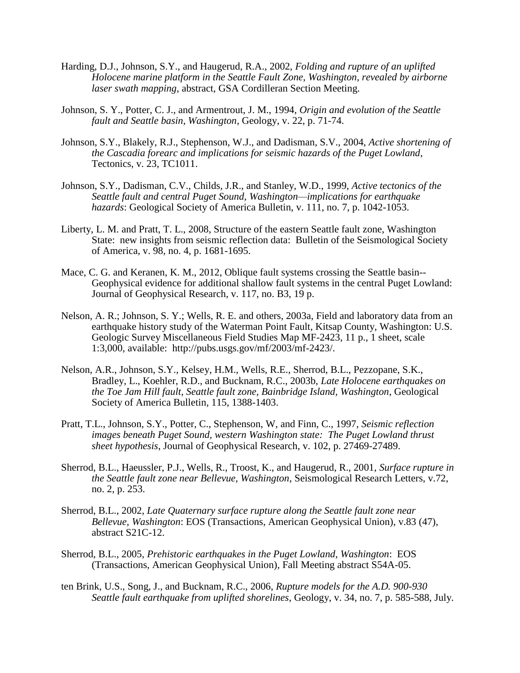- Harding, D.J., Johnson, S.Y., and Haugerud, R.A., 2002, *Folding and rupture of an uplifted Holocene marine platform in the Seattle Fault Zone, Washington, revealed by airborne laser swath mapping*, abstract, GSA Cordilleran Section Meeting.
- Johnson, S. Y., Potter, C. J., and Armentrout, J. M., 1994, *Origin and evolution of the Seattle fault and Seattle basin, Washington*, Geology, v. 22, p. 71-74.
- Johnson, S.Y., Blakely, R.J., Stephenson, W.J., and Dadisman, S.V., 2004, *Active shortening of the Cascadia forearc and implications for seismic hazards of the Puget Lowland*, Tectonics, v. 23, TC1011.
- Johnson, S.Y., Dadisman, C.V., Childs, J.R., and Stanley, W.D., 1999, *Active tectonics of the Seattle fault and central Puget Sound, Washington—implications for earthquake hazards*: Geological Society of America Bulletin, v. 111, no. 7, p. 1042-1053.
- Liberty, L. M. and Pratt, T. L., 2008, Structure of the eastern Seattle fault zone, Washington State: new insights from seismic reflection data: Bulletin of the Seismological Society of America, v. 98, no. 4, p. 1681-1695.
- Mace, C. G. and Keranen, K. M., 2012, Oblique fault systems crossing the Seattle basin--Geophysical evidence for additional shallow fault systems in the central Puget Lowland: Journal of Geophysical Research, v. 117, no. B3, 19 p.
- Nelson, A. R.; Johnson, S. Y.; Wells, R. E. and others, 2003a, Field and laboratory data from an earthquake history study of the Waterman Point Fault, Kitsap County, Washington: U.S. Geologic Survey Miscellaneous Field Studies Map MF-2423, 11 p., 1 sheet, scale 1:3,000, available: http://pubs.usgs.gov/mf/2003/mf-2423/.
- Nelson, A.R., Johnson, S.Y., Kelsey, H.M., Wells, R.E., Sherrod, B.L., Pezzopane, S.K., Bradley, L., Koehler, R.D., and Bucknam, R.C., 2003b, *Late Holocene earthquakes on the Toe Jam Hill fault, Seattle fault zone, Bainbridge Island, Washington*, Geological Society of America Bulletin, 115, 1388-1403.
- Pratt, T.L., Johnson, S.Y., Potter, C., Stephenson, W, and Finn, C., 1997, *Seismic reflection images beneath Puget Sound, western Washington state: The Puget Lowland thrust sheet hypothesis*, Journal of Geophysical Research, v. 102, p. 27469-27489.
- Sherrod, B.L., Haeussler, P.J., Wells, R., Troost, K., and Haugerud, R., 2001, *Surface rupture in the Seattle fault zone near Bellevue, Washington*, Seismological Research Letters, v.72, no. 2, p. 253.
- Sherrod, B.L., 2002, *Late Quaternary surface rupture along the Seattle fault zone near Bellevue, Washington*: EOS (Transactions, American Geophysical Union), v.83 (47), abstract S21C-12.
- Sherrod, B.L., 2005, *Prehistoric earthquakes in the Puget Lowland, Washington*: EOS (Transactions, American Geophysical Union), Fall Meeting abstract S54A-05.
- ten Brink, U.S., Song, J., and Bucknam, R.C., 2006, *Rupture models for the A.D. 900-930 Seattle fault earthquake from uplifted shorelines*, Geology, v. 34, no. 7, p. 585-588, July.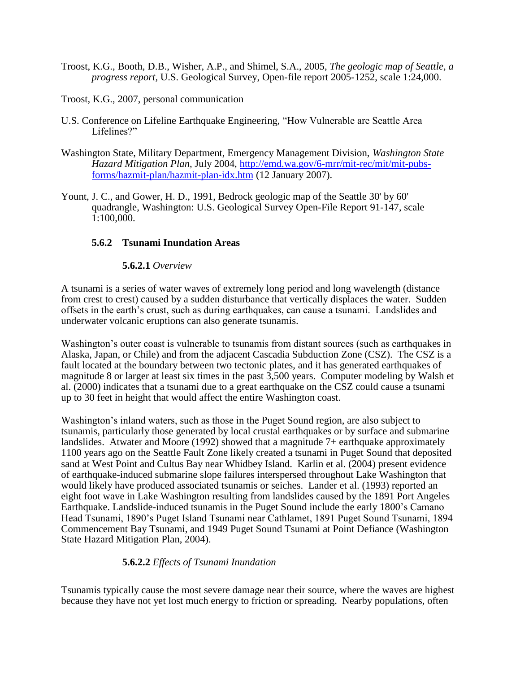- Troost, K.G., Booth, D.B., Wisher, A.P., and Shimel, S.A., 2005, *The geologic map of Seattle, a progress report,* U.S. Geological Survey, Open-file report 2005-1252, scale 1:24,000.
- Troost, K.G., 2007, personal communication
- U.S. Conference on Lifeline Earthquake Engineering, "How Vulnerable are Seattle Area Lifelines?"
- Washington State, Military Department, Emergency Management Division, *Washington State Hazard Mitigation Plan,* July 2004, [http://emd.wa.gov/6-mrr/mit-rec/mit/mit-pubs](http://emd.wa.gov/6-mrr/mit-rec/mit/mit-pubs-forms/hazmit-plan/hazmit-plan-idx.htm)[forms/hazmit-plan/hazmit-plan-idx.htm](http://emd.wa.gov/6-mrr/mit-rec/mit/mit-pubs-forms/hazmit-plan/hazmit-plan-idx.htm) (12 January 2007).
- Yount, J. C., and Gower, H. D., 1991, Bedrock geologic map of the Seattle 30' by 60' quadrangle, Washington: U.S. Geological Survey Open-File Report 91-147, scale 1:100,000.

### **5.6.2 Tsunami Inundation Areas**

#### **5.6.2.1** *Overview*

A tsunami is a series of water waves of extremely long period and long wavelength (distance from crest to crest) caused by a sudden disturbance that vertically displaces the water. Sudden offsets in the earth's crust, such as during earthquakes, can cause a tsunami. Landslides and underwater volcanic eruptions can also generate tsunamis.

Washington's outer coast is vulnerable to tsunamis from distant sources (such as earthquakes in Alaska, Japan, or Chile) and from the adjacent Cascadia Subduction Zone (CSZ). The CSZ is a fault located at the boundary between two tectonic plates, and it has generated earthquakes of magnitude 8 or larger at least six times in the past 3,500 years. Computer modeling by Walsh et al. (2000) indicates that a tsunami due to a great earthquake on the CSZ could cause a tsunami up to 30 feet in height that would affect the entire Washington coast.

Washington's inland waters, such as those in the Puget Sound region, are also subject to tsunamis, particularly those generated by local crustal earthquakes or by surface and submarine landslides. Atwater and Moore (1992) showed that a magnitude 7+ earthquake approximately 1100 years ago on the Seattle Fault Zone likely created a tsunami in Puget Sound that deposited sand at West Point and Cultus Bay near Whidbey Island. Karlin et al. (2004) present evidence of earthquake-induced submarine slope failures interspersed throughout Lake Washington that would likely have produced associated tsunamis or seiches. Lander et al. (1993) reported an eight foot wave in Lake Washington resulting from landslides caused by the 1891 Port Angeles Earthquake. Landslide-induced tsunamis in the Puget Sound include the early 1800's Camano Head Tsunami, 1890's Puget Island Tsunami near Cathlamet, 1891 Puget Sound Tsunami, 1894 Commencement Bay Tsunami, and 1949 Puget Sound Tsunami at Point Defiance (Washington State Hazard Mitigation Plan, 2004).

### **5.6.2.2** *Effects of Tsunami Inundation*

Tsunamis typically cause the most severe damage near their source, where the waves are highest because they have not yet lost much energy to friction or spreading. Nearby populations, often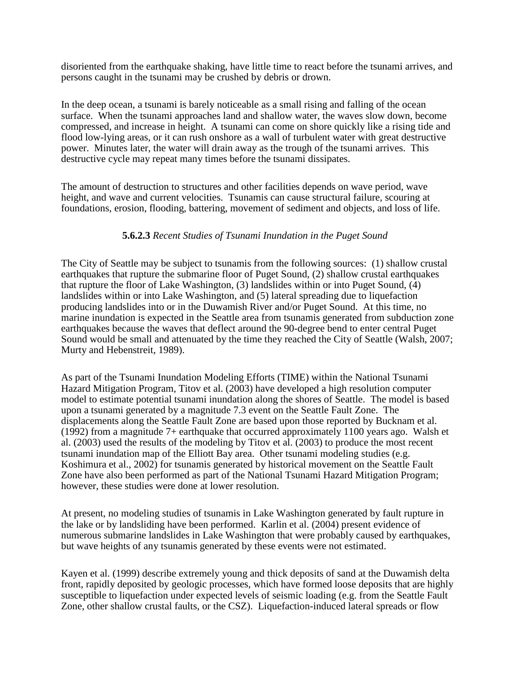disoriented from the earthquake shaking, have little time to react before the tsunami arrives, and persons caught in the tsunami may be crushed by debris or drown.

In the deep ocean, a tsunami is barely noticeable as a small rising and falling of the ocean surface. When the tsunami approaches land and shallow water, the waves slow down, become compressed, and increase in height. A tsunami can come on shore quickly like a rising tide and flood low-lying areas, or it can rush onshore as a wall of turbulent water with great destructive power. Minutes later, the water will drain away as the trough of the tsunami arrives. This destructive cycle may repeat many times before the tsunami dissipates.

The amount of destruction to structures and other facilities depends on wave period, wave height, and wave and current velocities. Tsunamis can cause structural failure, scouring at foundations, erosion, flooding, battering, movement of sediment and objects, and loss of life.

### **5.6.2.3** *Recent Studies of Tsunami Inundation in the Puget Sound*

The City of Seattle may be subject to tsunamis from the following sources: (1) shallow crustal earthquakes that rupture the submarine floor of Puget Sound, (2) shallow crustal earthquakes that rupture the floor of Lake Washington, (3) landslides within or into Puget Sound, (4) landslides within or into Lake Washington, and (5) lateral spreading due to liquefaction producing landslides into or in the Duwamish River and/or Puget Sound. At this time, no marine inundation is expected in the Seattle area from tsunamis generated from subduction zone earthquakes because the waves that deflect around the 90-degree bend to enter central Puget Sound would be small and attenuated by the time they reached the City of Seattle (Walsh, 2007; Murty and Hebenstreit, 1989).

As part of the Tsunami Inundation Modeling Efforts (TIME) within the National Tsunami Hazard Mitigation Program, Titov et al. (2003) have developed a high resolution computer model to estimate potential tsunami inundation along the shores of Seattle. The model is based upon a tsunami generated by a magnitude 7.3 event on the Seattle Fault Zone. The displacements along the Seattle Fault Zone are based upon those reported by Bucknam et al. (1992) from a magnitude 7+ earthquake that occurred approximately 1100 years ago. Walsh et al. (2003) used the results of the modeling by Titov et al. (2003) to produce the most recent tsunami inundation map of the Elliott Bay area. Other tsunami modeling studies (e.g. Koshimura et al., 2002) for tsunamis generated by historical movement on the Seattle Fault Zone have also been performed as part of the National Tsunami Hazard Mitigation Program; however, these studies were done at lower resolution.

At present, no modeling studies of tsunamis in Lake Washington generated by fault rupture in the lake or by landsliding have been performed. Karlin et al. (2004) present evidence of numerous submarine landslides in Lake Washington that were probably caused by earthquakes, but wave heights of any tsunamis generated by these events were not estimated.

Kayen et al. (1999) describe extremely young and thick deposits of sand at the Duwamish delta front, rapidly deposited by geologic processes, which have formed loose deposits that are highly susceptible to liquefaction under expected levels of seismic loading (e.g. from the Seattle Fault Zone, other shallow crustal faults, or the CSZ). Liquefaction-induced lateral spreads or flow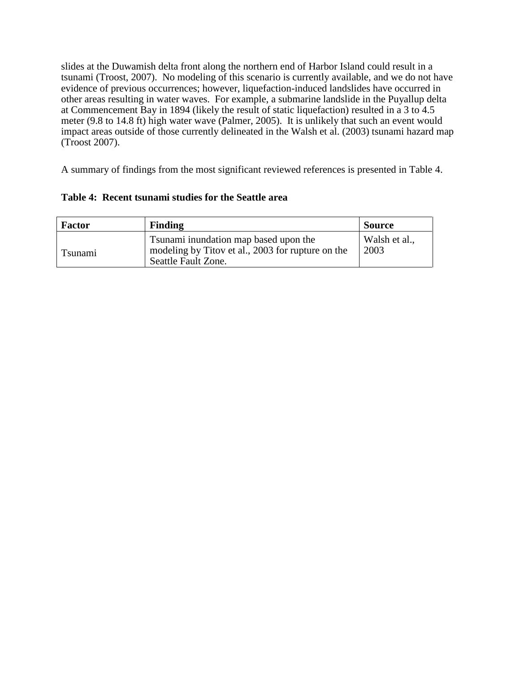slides at the Duwamish delta front along the northern end of Harbor Island could result in a tsunami (Troost, 2007). No modeling of this scenario is currently available, and we do not have evidence of previous occurrences; however, liquefaction-induced landslides have occurred in other areas resulting in water waves. For example, a submarine landslide in the Puyallup delta at Commencement Bay in 1894 (likely the result of static liquefaction) resulted in a 3 to 4.5 meter (9.8 to 14.8 ft) high water wave (Palmer, 2005). It is unlikely that such an event would impact areas outside of those currently delineated in the Walsh et al. (2003) tsunami hazard map (Troost 2007).

A summary of findings from the most significant reviewed references is presented in Table 4.

|  | Table 4: Recent tsunami studies for the Seattle area |  |  |  |
|--|------------------------------------------------------|--|--|--|
|--|------------------------------------------------------|--|--|--|

| <b>Factor</b> | <b>Finding</b>                                                                                                    | <b>Source</b>         |
|---------------|-------------------------------------------------------------------------------------------------------------------|-----------------------|
| Tsunami       | Tsunami inundation map based upon the<br>modeling by Titov et al., 2003 for rupture on the<br>Seattle Fault Zone. | Walsh et al.,<br>2003 |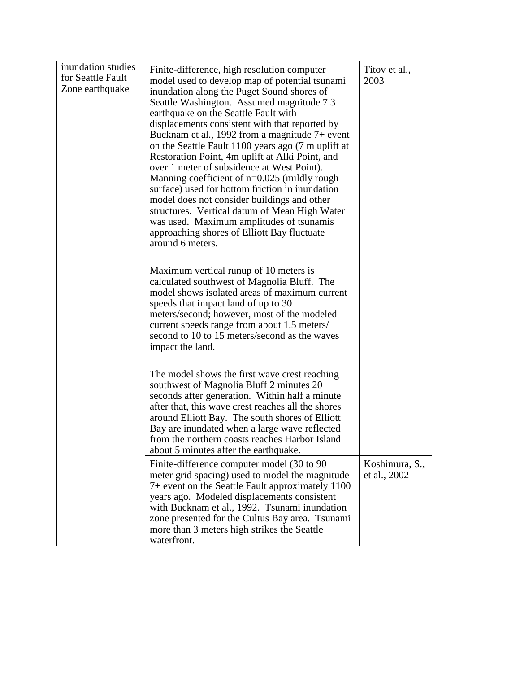| inundation studies<br>for Seattle Fault<br>Zone earthquake | Finite-difference, high resolution computer<br>model used to develop map of potential tsunami<br>inundation along the Puget Sound shores of<br>Seattle Washington. Assumed magnitude 7.3<br>earthquake on the Seattle Fault with<br>displacements consistent with that reported by<br>Bucknam et al., 1992 from a magnitude $7+$ event<br>on the Seattle Fault 1100 years ago (7 m uplift at<br>Restoration Point, 4m uplift at Alki Point, and<br>over 1 meter of subsidence at West Point).<br>Manning coefficient of $n=0.025$ (mildly rough<br>surface) used for bottom friction in inundation<br>model does not consider buildings and other<br>structures. Vertical datum of Mean High Water<br>was used. Maximum amplitudes of tsunamis<br>approaching shores of Elliott Bay fluctuate<br>around 6 meters. | Titov et al.,<br>2003          |
|------------------------------------------------------------|-------------------------------------------------------------------------------------------------------------------------------------------------------------------------------------------------------------------------------------------------------------------------------------------------------------------------------------------------------------------------------------------------------------------------------------------------------------------------------------------------------------------------------------------------------------------------------------------------------------------------------------------------------------------------------------------------------------------------------------------------------------------------------------------------------------------|--------------------------------|
|                                                            | Maximum vertical runup of 10 meters is<br>calculated southwest of Magnolia Bluff. The<br>model shows isolated areas of maximum current<br>speeds that impact land of up to 30<br>meters/second; however, most of the modeled<br>current speeds range from about 1.5 meters/<br>second to 10 to 15 meters/second as the waves<br>impact the land.                                                                                                                                                                                                                                                                                                                                                                                                                                                                  |                                |
|                                                            | The model shows the first wave crest reaching<br>southwest of Magnolia Bluff 2 minutes 20<br>seconds after generation. Within half a minute<br>after that, this wave crest reaches all the shores<br>around Elliott Bay. The south shores of Elliott<br>Bay are inundated when a large wave reflected<br>from the northern coasts reaches Harbor Island<br>about 5 minutes after the earthquake.                                                                                                                                                                                                                                                                                                                                                                                                                  |                                |
|                                                            | Finite-difference computer model (30 to 90)<br>meter grid spacing) used to model the magnitude<br>7+ event on the Seattle Fault approximately 1100<br>years ago. Modeled displacements consistent<br>with Bucknam et al., 1992. Tsunami inundation<br>zone presented for the Cultus Bay area. Tsunami<br>more than 3 meters high strikes the Seattle<br>waterfront.                                                                                                                                                                                                                                                                                                                                                                                                                                               | Koshimura, S.,<br>et al., 2002 |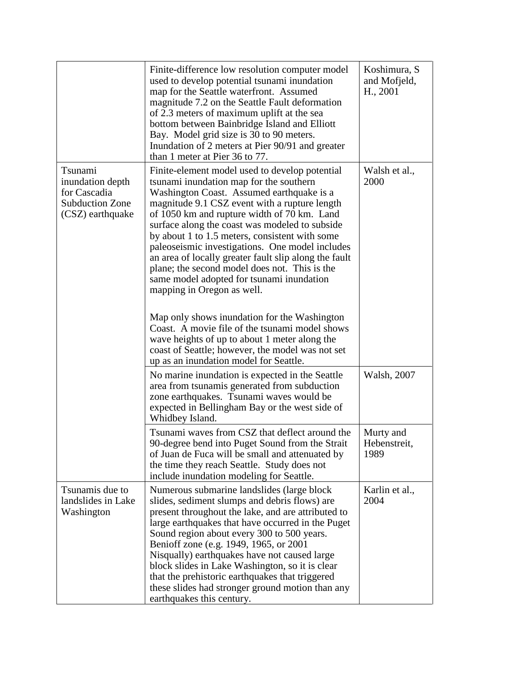|                                                                                           | Finite-difference low resolution computer model<br>used to develop potential tsunami inundation<br>map for the Seattle waterfront. Assumed<br>magnitude 7.2 on the Seattle Fault deformation<br>of 2.3 meters of maximum uplift at the sea<br>bottom between Bainbridge Island and Elliott<br>Bay. Model grid size is 30 to 90 meters.<br>Inundation of 2 meters at Pier 90/91 and greater<br>than 1 meter at Pier 36 to 77.                                                                                                                                                                                                                                                                                                                                                                                                        | Koshimura, S<br>and Mofjeld,<br>H., 2001 |
|-------------------------------------------------------------------------------------------|-------------------------------------------------------------------------------------------------------------------------------------------------------------------------------------------------------------------------------------------------------------------------------------------------------------------------------------------------------------------------------------------------------------------------------------------------------------------------------------------------------------------------------------------------------------------------------------------------------------------------------------------------------------------------------------------------------------------------------------------------------------------------------------------------------------------------------------|------------------------------------------|
| Tsunami<br>inundation depth<br>for Cascadia<br><b>Subduction Zone</b><br>(CSZ) earthquake | Finite-element model used to develop potential<br>tsunami inundation map for the southern<br>Washington Coast. Assumed earthquake is a<br>magnitude 9.1 CSZ event with a rupture length<br>of 1050 km and rupture width of 70 km. Land<br>surface along the coast was modeled to subside<br>by about 1 to 1.5 meters, consistent with some<br>paleoseismic investigations. One model includes<br>an area of locally greater fault slip along the fault<br>plane; the second model does not. This is the<br>same model adopted for tsunami inundation<br>mapping in Oregon as well.<br>Map only shows inundation for the Washington<br>Coast. A movie file of the tsunami model shows<br>wave heights of up to about 1 meter along the<br>coast of Seattle; however, the model was not set<br>up as an inundation model for Seattle. | Walsh et al.,<br>2000                    |
|                                                                                           | No marine inundation is expected in the Seattle<br>area from tsunamis generated from subduction<br>zone earthquakes. Tsunami waves would be<br>expected in Bellingham Bay or the west side of<br>Whidbey Island.                                                                                                                                                                                                                                                                                                                                                                                                                                                                                                                                                                                                                    | Walsh, 2007                              |
|                                                                                           | Tsunami waves from CSZ that deflect around the<br>90-degree bend into Puget Sound from the Strait<br>of Juan de Fuca will be small and attenuated by<br>the time they reach Seattle. Study does not<br>include inundation modeling for Seattle.                                                                                                                                                                                                                                                                                                                                                                                                                                                                                                                                                                                     | Murty and<br>Hebenstreit,<br>1989        |
| Tsunamis due to<br>landslides in Lake<br>Washington                                       | Numerous submarine landslides (large block)<br>slides, sediment slumps and debris flows) are<br>present throughout the lake, and are attributed to<br>large earthquakes that have occurred in the Puget<br>Sound region about every 300 to 500 years.<br>Benioff zone (e.g. 1949, 1965, or 2001<br>Nisqually) earthquakes have not caused large<br>block slides in Lake Washington, so it is clear<br>that the prehistoric earthquakes that triggered<br>these slides had stronger ground motion than any<br>earthquakes this century.                                                                                                                                                                                                                                                                                              | Karlin et al.,<br>2004                   |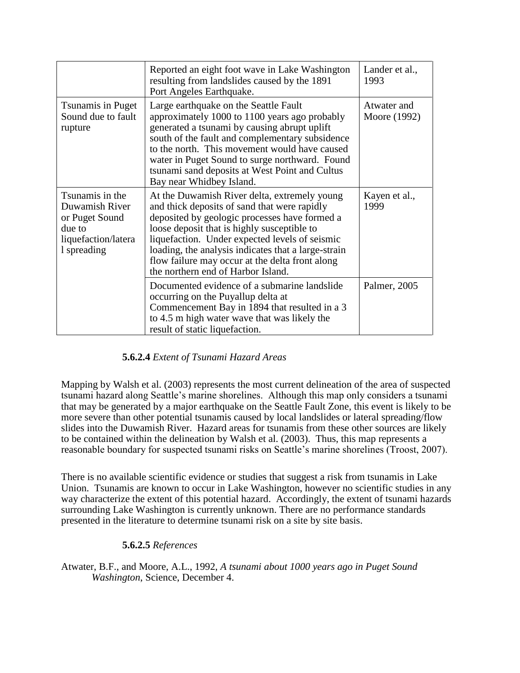|                                                                                                     | Reported an eight foot wave in Lake Washington<br>resulting from landslides caused by the 1891<br>Port Angeles Earthquake.                                                                                                                                                                                                                                                                     | Lander et al.,<br>1993      |
|-----------------------------------------------------------------------------------------------------|------------------------------------------------------------------------------------------------------------------------------------------------------------------------------------------------------------------------------------------------------------------------------------------------------------------------------------------------------------------------------------------------|-----------------------------|
| Tsunamis in Puget<br>Sound due to fault<br>rupture                                                  | Large earthquake on the Seattle Fault<br>approximately 1000 to 1100 years ago probably<br>generated a tsunami by causing abrupt uplift<br>south of the fault and complementary subsidence<br>to the north. This movement would have caused<br>water in Puget Sound to surge northward. Found<br>tsunami sand deposits at West Point and Cultus<br>Bay near Whidbey Island.                     | Atwater and<br>Moore (1992) |
| Tsunamis in the<br>Duwamish River<br>or Puget Sound<br>due to<br>liquefaction/latera<br>1 spreading | At the Duwamish River delta, extremely young<br>and thick deposits of sand that were rapidly<br>deposited by geologic processes have formed a<br>loose deposit that is highly susceptible to<br>liquefaction. Under expected levels of seismic<br>loading, the analysis indicates that a large-strain<br>flow failure may occur at the delta front along<br>the northern end of Harbor Island. | Kayen et al.,<br>1999       |
|                                                                                                     | Documented evidence of a submarine landslide<br>occurring on the Puyallup delta at<br>Commencement Bay in 1894 that resulted in a 3<br>to 4.5 m high water wave that was likely the<br>result of static liquefaction.                                                                                                                                                                          | Palmer, 2005                |

# **5.6.2.4** *Extent of Tsunami Hazard Areas*

Mapping by Walsh et al. (2003) represents the most current delineation of the area of suspected tsunami hazard along Seattle's marine shorelines. Although this map only considers a tsunami that may be generated by a major earthquake on the Seattle Fault Zone, this event is likely to be more severe than other potential tsunamis caused by local landslides or lateral spreading/flow slides into the Duwamish River. Hazard areas for tsunamis from these other sources are likely to be contained within the delineation by Walsh et al. (2003). Thus, this map represents a reasonable boundary for suspected tsunami risks on Seattle's marine shorelines (Troost, 2007).

There is no available scientific evidence or studies that suggest a risk from tsunamis in Lake Union. Tsunamis are known to occur in Lake Washington, however no scientific studies in any way characterize the extent of this potential hazard. Accordingly, the extent of tsunami hazards surrounding Lake Washington is currently unknown. There are no performance standards presented in the literature to determine tsunami risk on a site by site basis.

# **5.6.2.5** *References*

Atwater, B.F., and Moore, A.L., 1992, *A tsunami about 1000 years ago in Puget Sound Washington*, Science, December 4.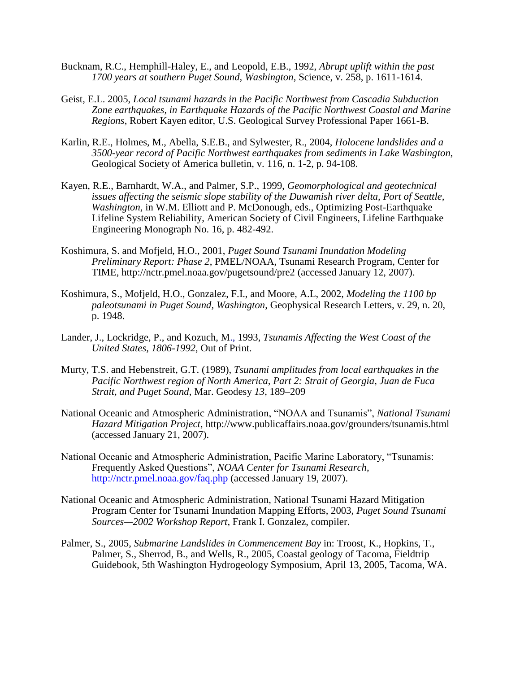- Bucknam, R.C., Hemphill-Haley, E., and Leopold, E.B., 1992, *Abrupt uplift within the past 1700 years at southern Puget Sound, Washington*, Science, v. 258, p. 1611-1614.
- Geist, E.L. 2005, *Local tsunami hazards in the Pacific Northwest from Cascadia Subduction Zone earthquakes, in Earthquake Hazards of the Pacific Northwest Coastal and Marine Regions*, Robert Kayen editor, U.S. Geological Survey Professional Paper 1661-B.
- Karlin, R.E., Holmes, M., Abella, S.E.B., and Sylwester, R., 2004, *Holocene landslides and a 3500-year record of Pacific Northwest earthquakes from sediments in Lake Washington*, Geological Society of America bulletin, v. 116, n. 1-2, p. 94-108.
- Kayen, R.E., Barnhardt, W.A., and Palmer, S.P., 1999, *Geomorphological and geotechnical issues affecting the seismic slope stability of the Duwamish river delta, Port of Seattle, Washington*, in W.M. Elliott and P. McDonough, eds., Optimizing Post-Earthquake Lifeline System Reliability, American Society of Civil Engineers, Lifeline Earthquake Engineering Monograph No. 16, p. 482-492.
- Koshimura, S. and Mofjeld, H.O., 2001, *Puget Sound Tsunami Inundation Modeling Preliminary Report: Phase 2*, PMEL/NOAA, Tsunami Research Program, Center for TIME, http://nctr.pmel.noaa.gov/pugetsound/pre2 (accessed January 12, 2007).
- Koshimura, S., Mofjeld, H.O., Gonzalez, F.I., and Moore, A.L, 2002, *Modeling the 1100 bp paleotsunami in Puget Sound, Washington*, Geophysical Research Letters, v. 29, n. 20, p. 1948.
- Lander, J., Lockridge, P., and Kozuch, M., 1993, *Tsunamis Affecting the West Coast of the United States, 1806-1992*, Out of Print.
- Murty, T.S. and Hebenstreit, G.T. (1989), *Tsunami amplitudes from local earthquakes in the Pacific Northwest region of North America, Part 2: Strait of Georgia, Juan de Fuca Strait, and Puget Sound*, Mar. Geodesy *13*, 189–209
- National Oceanic and Atmospheric Administration, "NOAA and Tsunamis", *National Tsunami Hazard Mitigation Project*, http://www.publicaffairs.noaa.gov/grounders/tsunamis.html (accessed January 21, 2007).
- National Oceanic and Atmospheric Administration, Pacific Marine Laboratory, "Tsunamis: Frequently Asked Questions", *NOAA Center for Tsunami Research*, <http://nctr.pmel.noaa.gov/faq.php> (accessed January 19, 2007).
- National Oceanic and Atmospheric Administration, National Tsunami Hazard Mitigation Program Center for Tsunami Inundation Mapping Efforts, 2003, *Puget Sound Tsunami Sources—2002 Workshop Report*, Frank I. Gonzalez, compiler.
- Palmer, S., 2005, *Submarine Landslides in Commencement Bay* in: Troost, K., Hopkins, T., Palmer, S., Sherrod, B., and Wells, R., 2005, Coastal geology of Tacoma, Fieldtrip Guidebook, 5th Washington Hydrogeology Symposium, April 13, 2005, Tacoma, WA.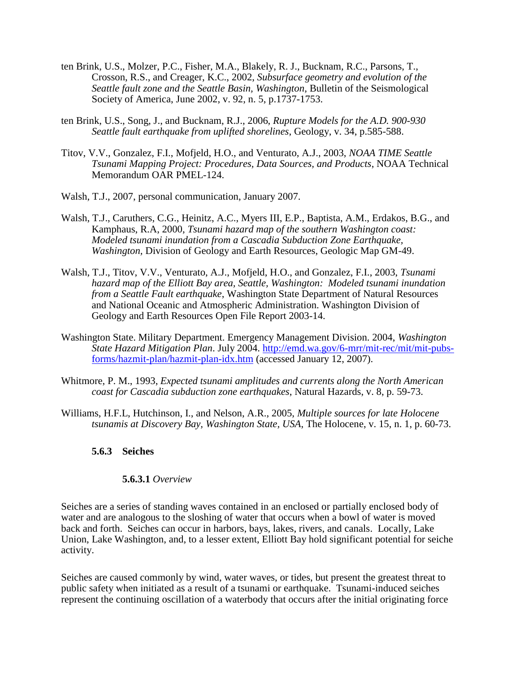- ten Brink, U.S., Molzer, P.C., Fisher, M.A., Blakely, R. J., Bucknam, R.C., Parsons, T., Crosson, R.S., and Creager, K.C., 2002, *Subsurface geometry and evolution of the Seattle fault zone and the Seattle Basin, Washington*, Bulletin of the Seismological Society of America, June 2002, v. 92, n. 5, p.1737-1753.
- ten Brink, U.S., Song, J., and Bucknam, R.J., 2006, *Rupture Models for the A.D. 900-930 Seattle fault earthquake from uplifted shorelines*, Geology, v. 34, p.585-588.
- Titov, V.V., Gonzalez, F.I., Mofjeld, H.O., and Venturato, A.J., 2003, *NOAA TIME Seattle Tsunami Mapping Project: Procedures, Data Sources, and Products*, NOAA Technical Memorandum OAR PMEL-124.
- Walsh, T.J., 2007, personal communication, January 2007.
- Walsh, T.J., Caruthers, C.G., Heinitz, A.C., Myers III, E.P., Baptista, A.M., Erdakos, B.G., and Kamphaus, R.A, 2000, *Tsunami hazard map of the southern Washington coast: Modeled tsunami inundation from a Cascadia Subduction Zone Earthquake, Washington,* Division of Geology and Earth Resources, Geologic Map GM-49.
- Walsh, T.J., Titov, V.V., Venturato, A.J., Mofjeld, H.O., and Gonzalez, F.I., 2003, *Tsunami hazard map of the Elliott Bay area, Seattle, Washington: Modeled tsunami inundation from a Seattle Fault earthquake*, Washington State Department of Natural Resources and National Oceanic and Atmospheric Administration. Washington Division of Geology and Earth Resources Open File Report 2003-14.
- Washington State. Military Department. Emergency Management Division. 2004, *Washington State Hazard Mitigation Plan*. July 2004. [http://emd.wa.gov/6-mrr/mit-rec/mit/mit-pubs](http://emd.wa.gov/6-mrr/mit-rec/mit/mit-pubs-forms/hazmit-plan/hazmit-plan-idx.htm)[forms/hazmit-plan/hazmit-plan-idx.htm](http://emd.wa.gov/6-mrr/mit-rec/mit/mit-pubs-forms/hazmit-plan/hazmit-plan-idx.htm) (accessed January 12, 2007).
- Whitmore, P. M., 1993, *Expected tsunami amplitudes and currents along the North American coast for Cascadia subduction zone earthquakes*, Natural Hazards, v. 8, p. 59-73.
- Williams, H.F.L, Hutchinson, I., and Nelson, A.R., 2005, *Multiple sources for late Holocene tsunamis at Discovery Bay, Washington State, USA*, The Holocene, v. 15, n. 1, p. 60-73.

### **5.6.3 Seiches**

#### **5.6.3.1** *Overview*

Seiches are a series of standing waves contained in an enclosed or partially enclosed body of water and are analogous to the sloshing of water that occurs when a bowl of water is moved back and forth. Seiches can occur in harbors, bays, lakes, rivers, and canals. Locally, Lake Union, Lake Washington, and, to a lesser extent, Elliott Bay hold significant potential for seiche activity.

Seiches are caused commonly by wind, water waves, or tides, but present the greatest threat to public safety when initiated as a result of a tsunami or earthquake. Tsunami-induced seiches represent the continuing oscillation of a waterbody that occurs after the initial originating force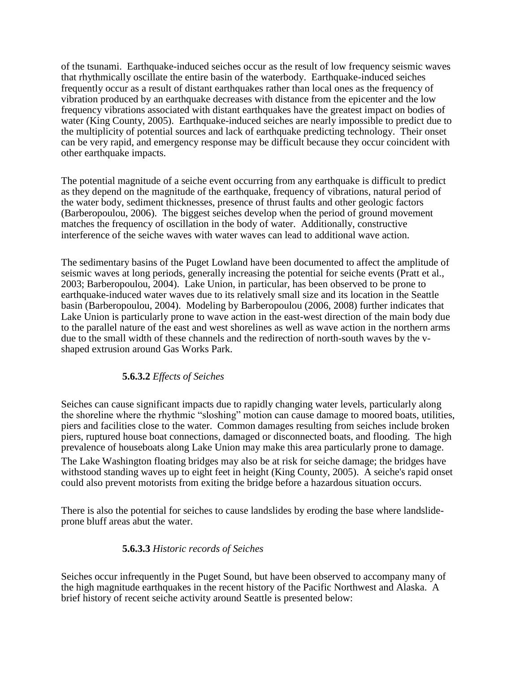of the tsunami. Earthquake-induced seiches occur as the result of low frequency seismic waves that rhythmically oscillate the entire basin of the waterbody. Earthquake-induced seiches frequently occur as a result of distant earthquakes rather than local ones as the frequency of vibration produced by an earthquake decreases with distance from the epicenter and the low frequency vibrations associated with distant earthquakes have the greatest impact on bodies of water (King County, 2005). Earthquake-induced seiches are nearly impossible to predict due to the multiplicity of potential sources and lack of earthquake predicting technology. Their onset can be very rapid, and emergency response may be difficult because they occur coincident with other earthquake impacts.

The potential magnitude of a seiche event occurring from any earthquake is difficult to predict as they depend on the magnitude of the earthquake, frequency of vibrations, natural period of the water body, sediment thicknesses, presence of thrust faults and other geologic factors (Barberopoulou, 2006). The biggest seiches develop when the period of ground movement matches the frequency of oscillation in the body of water. Additionally, constructive interference of the seiche waves with water waves can lead to additional wave action.

The sedimentary basins of the Puget Lowland have been documented to affect the amplitude of seismic waves at long periods, generally increasing the potential for seiche events (Pratt et al., 2003; Barberopoulou, 2004). Lake Union, in particular, has been observed to be prone to earthquake-induced water waves due to its relatively small size and its location in the Seattle basin (Barberopoulou, 2004). Modeling by Barberopoulou (2006, 2008) further indicates that Lake Union is particularly prone to wave action in the east-west direction of the main body due to the parallel nature of the east and west shorelines as well as wave action in the northern arms due to the small width of these channels and the redirection of north-south waves by the vshaped extrusion around Gas Works Park.

# **5.6.3.2** *Effects of Seiches*

Seiches can cause significant impacts due to rapidly changing water levels, particularly along the shoreline where the rhythmic "sloshing" motion can cause damage to moored boats, utilities, piers and facilities close to the water. Common damages resulting from seiches include broken piers, ruptured house boat connections, damaged or disconnected boats, and flooding. The high prevalence of houseboats along Lake Union may make this area particularly prone to damage.

The Lake Washington floating bridges may also be at risk for seiche damage; the bridges have withstood standing waves up to eight feet in height (King County, 2005). A seiche's rapid onset could also prevent motorists from exiting the bridge before a hazardous situation occurs.

There is also the potential for seiches to cause landslides by eroding the base where landslideprone bluff areas abut the water.

### **5.6.3.3** *Historic records of Seiches*

Seiches occur infrequently in the Puget Sound, but have been observed to accompany many of the high magnitude earthquakes in the recent history of the Pacific Northwest and Alaska. A brief history of recent seiche activity around Seattle is presented below: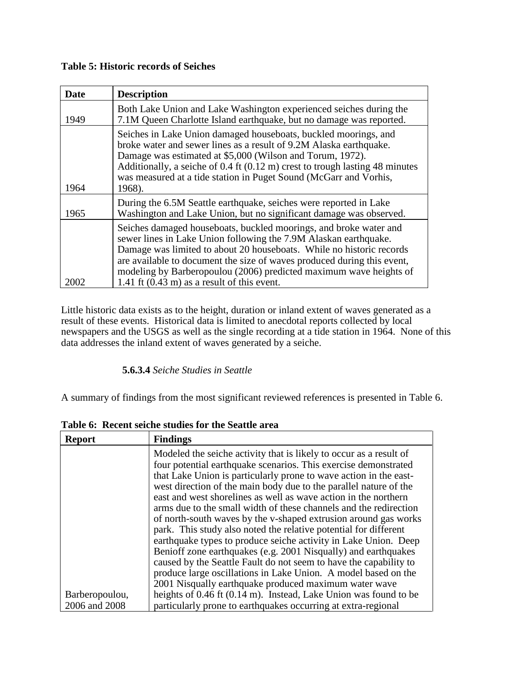### **Table 5: Historic records of Seiches**

| <b>Date</b> | <b>Description</b>                                                                                                                                                                                                                                                                                                                                                                                                      |
|-------------|-------------------------------------------------------------------------------------------------------------------------------------------------------------------------------------------------------------------------------------------------------------------------------------------------------------------------------------------------------------------------------------------------------------------------|
| 1949        | Both Lake Union and Lake Washington experienced seiches during the<br>7.1M Queen Charlotte Island earthquake, but no damage was reported.                                                                                                                                                                                                                                                                               |
| 1964        | Seiches in Lake Union damaged houseboats, buckled moorings, and<br>broke water and sewer lines as a result of 9.2M Alaska earthquake.<br>Damage was estimated at \$5,000 (Wilson and Torum, 1972).<br>Additionally, a seiche of 0.4 ft (0.12 m) crest to trough lasting 48 minutes<br>was measured at a tide station in Puget Sound (McGarr and Vorhis,<br>1968).                                                       |
| 1965        | During the 6.5M Seattle earthquake, seiches were reported in Lake<br>Washington and Lake Union, but no significant damage was observed.                                                                                                                                                                                                                                                                                 |
| 2002        | Seiches damaged houseboats, buckled moorings, and broke water and<br>sewer lines in Lake Union following the 7.9M Alaskan earthquake.<br>Damage was limited to about 20 houseboats. While no historic records<br>are available to document the size of waves produced during this event,<br>modeling by Barberopoulou (2006) predicted maximum wave heights of<br>1.41 ft $(0.43 \text{ m})$ as a result of this event. |
|             |                                                                                                                                                                                                                                                                                                                                                                                                                         |

Little historic data exists as to the height, duration or inland extent of waves generated as a result of these events. Historical data is limited to anecdotal reports collected by local newspapers and the USGS as well as the single recording at a tide station in 1964. None of this data addresses the inland extent of waves generated by a seiche.

# **5.6.3.4** *Seiche Studies in Seattle*

A summary of findings from the most significant reviewed references is presented in Table 6.

| <b>Report</b>  | <b>Findings</b>                                                    |
|----------------|--------------------------------------------------------------------|
|                | Modeled the seiche activity that is likely to occur as a result of |
|                | four potential earthquake scenarios. This exercise demonstrated    |
|                | that Lake Union is particularly prone to wave action in the east-  |
|                | west direction of the main body due to the parallel nature of the  |
|                | east and west shorelines as well as wave action in the northern    |
|                | arms due to the small width of these channels and the redirection  |
|                | of north-south waves by the v-shaped extrusion around gas works    |
|                | park. This study also noted the relative potential for different   |
|                | earthquake types to produce seiche activity in Lake Union. Deep    |
|                | Benioff zone earthquakes (e.g. 2001 Nisqually) and earthquakes     |
|                | caused by the Seattle Fault do not seem to have the capability to  |
|                | produce large oscillations in Lake Union. A model based on the     |
|                | 2001 Nisqually earthquake produced maximum water wave              |
| Barberopoulou, | heights of 0.46 ft (0.14 m). Instead, Lake Union was found to be   |
| 2006 and 2008  | particularly prone to earthquakes occurring at extra-regional      |

**Table 6: Recent seiche studies for the Seattle area**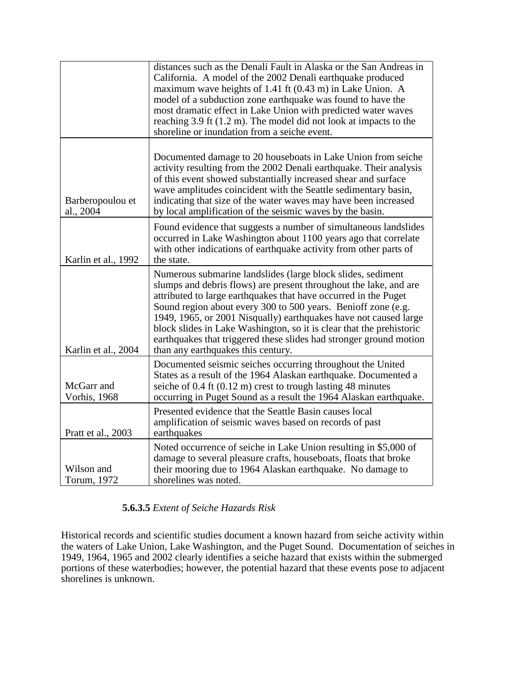|                               | distances such as the Denali Fault in Alaska or the San Andreas in<br>California. A model of the 2002 Denali earthquake produced<br>maximum wave heights of 1.41 ft (0.43 m) in Lake Union. A<br>model of a subduction zone earthquake was found to have the<br>most dramatic effect in Lake Union with predicted water waves<br>reaching 3.9 ft (1.2 m). The model did not look at impacts to the<br>shoreline or inundation from a seiche event.                                                                           |
|-------------------------------|------------------------------------------------------------------------------------------------------------------------------------------------------------------------------------------------------------------------------------------------------------------------------------------------------------------------------------------------------------------------------------------------------------------------------------------------------------------------------------------------------------------------------|
| Barberopoulou et<br>al., 2004 | Documented damage to 20 houseboats in Lake Union from seiche<br>activity resulting from the 2002 Denali earthquake. Their analysis<br>of this event showed substantially increased shear and surface<br>wave amplitudes coincident with the Seattle sedimentary basin,<br>indicating that size of the water waves may have been increased<br>by local amplification of the seismic waves by the basin.                                                                                                                       |
| Karlin et al., 1992           | Found evidence that suggests a number of simultaneous landslides<br>occurred in Lake Washington about 1100 years ago that correlate<br>with other indications of earthquake activity from other parts of<br>the state.                                                                                                                                                                                                                                                                                                       |
| Karlin et al., 2004           | Numerous submarine landslides (large block slides, sediment<br>slumps and debris flows) are present throughout the lake, and are<br>attributed to large earthquakes that have occurred in the Puget<br>Sound region about every 300 to 500 years. Benioff zone (e.g.<br>1949, 1965, or 2001 Nisqually) earthquakes have not caused large<br>block slides in Lake Washington, so it is clear that the prehistoric<br>earthquakes that triggered these slides had stronger ground motion<br>than any earthquakes this century. |
| McGarr and<br>Vorhis, 1968    | Documented seismic seiches occurring throughout the United<br>States as a result of the 1964 Alaskan earthquake. Documented a<br>seiche of $0.4$ ft $(0.12 \text{ m})$ crest to trough lasting 48 minutes<br>occurring in Puget Sound as a result the 1964 Alaskan earthquake.                                                                                                                                                                                                                                               |
| Pratt et al., 2003            | Presented evidence that the Seattle Basin causes local<br>amplification of seismic waves based on records of past<br>earthquakes                                                                                                                                                                                                                                                                                                                                                                                             |
| Wilson and<br>Torum, 1972     | Noted occurrence of seiche in Lake Union resulting in \$5,000 of<br>damage to several pleasure crafts, houseboats, floats that broke<br>their mooring due to 1964 Alaskan earthquake. No damage to<br>shorelines was noted.                                                                                                                                                                                                                                                                                                  |

# **5.6.3.5** *Extent of Seiche Hazards Risk*

Historical records and scientific studies document a known hazard from seiche activity within the waters of Lake Union, Lake Washington, and the Puget Sound. Documentation of seiches in 1949, 1964, 1965 and 2002 clearly identifies a seiche hazard that exists within the submerged portions of these waterbodies; however, the potential hazard that these events pose to adjacent shorelines is unknown.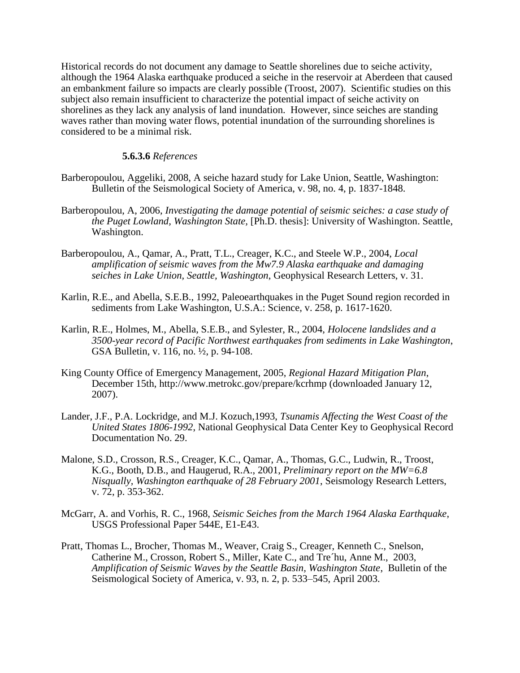Historical records do not document any damage to Seattle shorelines due to seiche activity, although the 1964 Alaska earthquake produced a seiche in the reservoir at Aberdeen that caused an embankment failure so impacts are clearly possible (Troost, 2007). Scientific studies on this subject also remain insufficient to characterize the potential impact of seiche activity on shorelines as they lack any analysis of land inundation. However, since seiches are standing waves rather than moving water flows, potential inundation of the surrounding shorelines is considered to be a minimal risk.

#### **5.6.3.6** *References*

- Barberopoulou, Aggeliki, 2008, A seiche hazard study for Lake Union, Seattle, Washington: Bulletin of the Seismological Society of America, v. 98, no. 4, p. 1837-1848.
- Barberopoulou, A, 2006, *Investigating the damage potential of seismic seiches: a case study of the Puget Lowland, Washington State,* [Ph.D. thesis]: University of Washington. Seattle, Washington.
- Barberopoulou, A., Qamar, A., Pratt, T.L., Creager, K.C., and Steele W.P., 2004, *Local amplification of seismic waves from the Mw7.9 Alaska earthquake and damaging seiches in Lake Union, Seattle, Washington*, Geophysical Research Letters, v. 31.
- Karlin, R.E., and Abella, S.E.B., 1992, Paleoearthquakes in the Puget Sound region recorded in sediments from Lake Washington, U.S.A.: Science, v. 258, p. 1617-1620.
- Karlin, R.E., Holmes, M., Abella, S.E.B., and Sylester, R., 2004, *Holocene landslides and a 3500-year record of Pacific Northwest earthquakes from sediments in Lake Washington*, GSA Bulletin, v. 116, no. ½, p. 94-108.
- King County Office of Emergency Management, 2005, *Regional Hazard Mitigation Plan*, December 15th, http://www.metrokc.gov/prepare/kcrhmp (downloaded January 12, 2007).
- Lander, J.F., P.A. Lockridge, and M.J. Kozuch,1993, *Tsunamis Affecting the West Coast of the United States 1806-1992*, National Geophysical Data Center Key to Geophysical Record Documentation No. 29.
- Malone, S.D., Crosson, R.S., Creager, K.C., Qamar, A., Thomas, G.C., Ludwin, R., Troost, K.G., Booth, D.B., and Haugerud, R.A., 2001, *Preliminary report on the MW=6.8 Nisqually, Washington earthquake of 28 February 2001*, Seismology Research Letters, v. 72, p. 353-362.
- McGarr, A. and Vorhis, R. C., 1968, *Seismic Seiches from the March 1964 Alaska Earthquake*, USGS Professional Paper 544E, E1-E43.
- Pratt, Thomas L., Brocher, Thomas M., Weaver, Craig S., Creager, Kenneth C., Snelson, Catherine M., Crosson, Robert S., Miller, Kate C., and Tre´hu, Anne M., 2003, *Amplification of Seismic Waves by the Seattle Basin, Washington State*, Bulletin of the Seismological Society of America, v. 93, n. 2, p. 533–545, April 2003.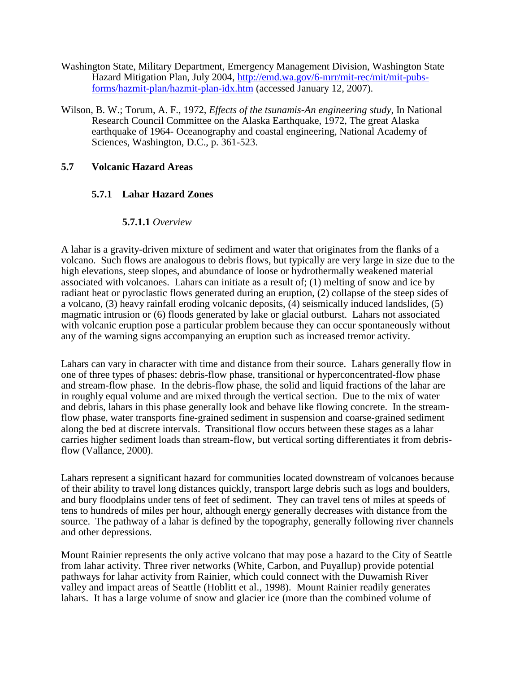- Washington State, Military Department, Emergency Management Division, Washington State Hazard Mitigation Plan, July 2004, [http://emd.wa.gov/6-mrr/mit-rec/mit/mit-pubs](http://emd.wa.gov/6-mrr/mit-rec/mit/mit-pubs-forms/hazmit-plan/hazmit-plan-idx.htm)[forms/hazmit-plan/hazmit-plan-idx.htm](http://emd.wa.gov/6-mrr/mit-rec/mit/mit-pubs-forms/hazmit-plan/hazmit-plan-idx.htm) (accessed January 12, 2007).
- Wilson, B. W.; Torum, A. F., 1972, *Effects of the tsunamis-An engineering study*, In National Research Council Committee on the Alaska Earthquake, 1972, The great Alaska earthquake of 1964- Oceanography and coastal engineering, National Academy of Sciences, Washington, D.C., p. 361-523.

### **5.7 Volcanic Hazard Areas**

### **5.7.1 Lahar Hazard Zones**

### **5.7.1.1** *Overview*

A lahar is a gravity-driven mixture of sediment and water that originates from the flanks of a volcano. Such flows are analogous to debris flows, but typically are very large in size due to the high elevations, steep slopes, and abundance of loose or hydrothermally weakened material associated with volcanoes. Lahars can initiate as a result of; (1) melting of snow and ice by radiant heat or pyroclastic flows generated during an eruption, (2) collapse of the steep sides of a volcano, (3) heavy rainfall eroding volcanic deposits, (4) seismically induced landslides, (5) magmatic intrusion or (6) floods generated by lake or glacial outburst. Lahars not associated with volcanic eruption pose a particular problem because they can occur spontaneously without any of the warning signs accompanying an eruption such as increased tremor activity.

Lahars can vary in character with time and distance from their source. Lahars generally flow in one of three types of phases: debris-flow phase, transitional or hyperconcentrated-flow phase and stream-flow phase. In the debris-flow phase, the solid and liquid fractions of the lahar are in roughly equal volume and are mixed through the vertical section. Due to the mix of water and debris, lahars in this phase generally look and behave like flowing concrete. In the streamflow phase, water transports fine-grained sediment in suspension and coarse-grained sediment along the bed at discrete intervals. Transitional flow occurs between these stages as a lahar carries higher sediment loads than stream-flow, but vertical sorting differentiates it from debrisflow (Vallance, 2000).

Lahars represent a significant hazard for communities located downstream of volcanoes because of their ability to travel long distances quickly, transport large debris such as logs and boulders, and bury floodplains under tens of feet of sediment. They can travel tens of miles at speeds of tens to hundreds of miles per hour, although energy generally decreases with distance from the source. The pathway of a lahar is defined by the topography, generally following river channels and other depressions.

Mount Rainier represents the only active volcano that may pose a hazard to the City of Seattle from lahar activity. Three river networks (White, Carbon, and Puyallup) provide potential pathways for lahar activity from Rainier, which could connect with the Duwamish River valley and impact areas of Seattle (Hoblitt et al., 1998). Mount Rainier readily generates lahars. It has a large volume of snow and glacier ice (more than the combined volume of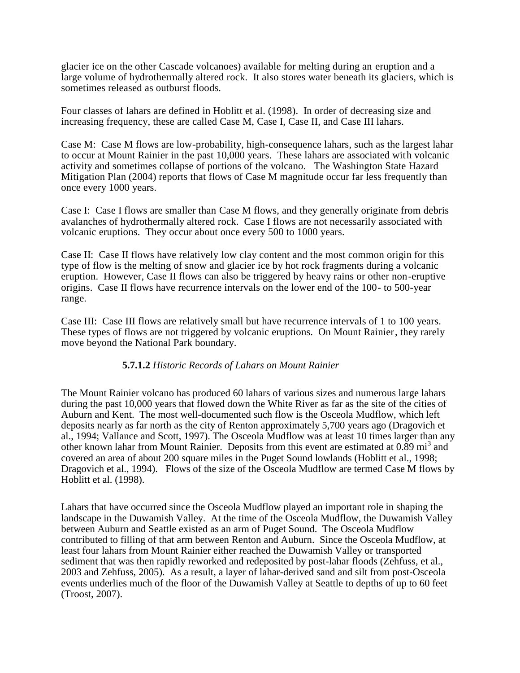glacier ice on the other Cascade volcanoes) available for melting during an eruption and a large volume of hydrothermally altered rock. It also stores water beneath its glaciers, which is sometimes released as outburst floods.

Four classes of lahars are defined in Hoblitt et al. (1998). In order of decreasing size and increasing frequency, these are called Case M, Case I, Case II, and Case III lahars.

Case M: Case M flows are low-probability, high-consequence lahars, such as the largest lahar to occur at Mount Rainier in the past 10,000 years. These lahars are associated with volcanic activity and sometimes collapse of portions of the volcano. The Washington State Hazard Mitigation Plan (2004) reports that flows of Case M magnitude occur far less frequently than once every 1000 years.

Case I: Case I flows are smaller than Case M flows, and they generally originate from debris avalanches of hydrothermally altered rock. Case I flows are not necessarily associated with volcanic eruptions. They occur about once every 500 to 1000 years.

Case II: Case II flows have relatively low clay content and the most common origin for this type of flow is the melting of snow and glacier ice by hot rock fragments during a volcanic eruption. However, Case II flows can also be triggered by heavy rains or other non-eruptive origins. Case II flows have recurrence intervals on the lower end of the 100- to 500-year range.

Case III: Case III flows are relatively small but have recurrence intervals of 1 to 100 years. These types of flows are not triggered by volcanic eruptions. On Mount Rainier, they rarely move beyond the National Park boundary.

### **5.7.1.2** *Historic Records of Lahars on Mount Rainier*

The Mount Rainier volcano has produced 60 lahars of various sizes and numerous large lahars during the past 10,000 years that flowed down the White River as far as the site of the cities of Auburn and Kent. The most well-documented such flow is the Osceola Mudflow, which left deposits nearly as far north as the city of Renton approximately 5,700 years ago (Dragovich et al., 1994; Vallance and Scott, 1997). The Osceola Mudflow was at least 10 times larger than any other known lahar from Mount Rainier. Deposits from this event are estimated at  $0.89$  mi<sup>3</sup> and covered an area of about 200 square miles in the Puget Sound lowlands (Hoblitt et al., 1998; Dragovich et al., 1994). Flows of the size of the Osceola Mudflow are termed Case M flows by Hoblitt et al. (1998).

Lahars that have occurred since the Osceola Mudflow played an important role in shaping the landscape in the Duwamish Valley. At the time of the Osceola Mudflow, the Duwamish Valley between Auburn and Seattle existed as an arm of Puget Sound. The Osceola Mudflow contributed to filling of that arm between Renton and Auburn. Since the Osceola Mudflow, at least four lahars from Mount Rainier either reached the Duwamish Valley or transported sediment that was then rapidly reworked and redeposited by post-lahar floods (Zehfuss, et al., 2003 and Zehfuss, 2005). As a result, a layer of lahar-derived sand and silt from post-Osceola events underlies much of the floor of the Duwamish Valley at Seattle to depths of up to 60 feet (Troost, 2007).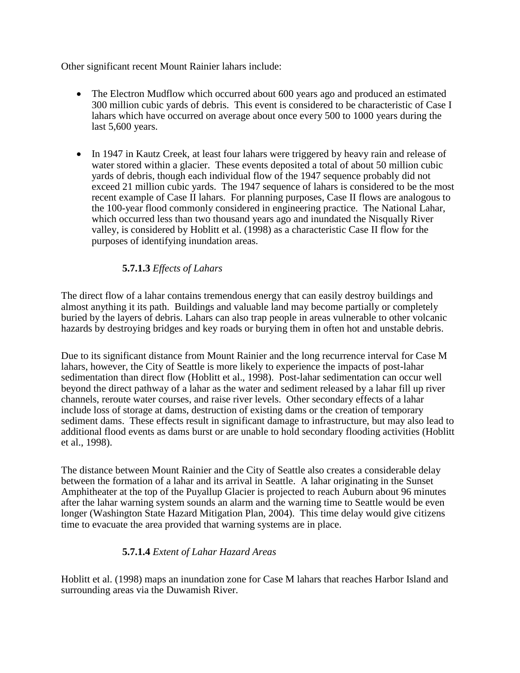Other significant recent Mount Rainier lahars include:

- The Electron Mudflow which occurred about 600 years ago and produced an estimated 300 million cubic yards of debris. This event is considered to be characteristic of Case I lahars which have occurred on average about once every 500 to 1000 years during the last 5,600 years.
- In 1947 in Kautz Creek, at least four lahars were triggered by heavy rain and release of water stored within a glacier. These events deposited a total of about 50 million cubic yards of debris, though each individual flow of the 1947 sequence probably did not exceed 21 million cubic yards. The 1947 sequence of lahars is considered to be the most recent example of Case II lahars. For planning purposes, Case II flows are analogous to the 100-year flood commonly considered in engineering practice. The National Lahar, which occurred less than two thousand years ago and inundated the Nisqually River valley, is considered by Hoblitt et al. (1998) as a characteristic Case II flow for the purposes of identifying inundation areas.

# **5.7.1.3** *Effects of Lahars*

The direct flow of a lahar contains tremendous energy that can easily destroy buildings and almost anything it its path. Buildings and valuable land may become partially or completely buried by the layers of debris. Lahars can also trap people in areas vulnerable to other volcanic hazards by destroying bridges and key roads or burying them in often hot and unstable debris.

Due to its significant distance from Mount Rainier and the long recurrence interval for Case M lahars, however, the City of Seattle is more likely to experience the impacts of post-lahar sedimentation than direct flow (Hoblitt et al., 1998). Post-lahar sedimentation can occur well beyond the direct pathway of a lahar as the water and sediment released by a lahar fill up river channels, reroute water courses, and raise river levels. Other secondary effects of a lahar include loss of storage at dams, destruction of existing dams or the creation of temporary sediment dams. These effects result in significant damage to infrastructure, but may also lead to additional flood events as dams burst or are unable to hold secondary flooding activities (Hoblitt et al., 1998).

The distance between Mount Rainier and the City of Seattle also creates a considerable delay between the formation of a lahar and its arrival in Seattle. A lahar originating in the Sunset Amphitheater at the top of the Puyallup Glacier is projected to reach Auburn about 96 minutes after the lahar warning system sounds an alarm and the warning time to Seattle would be even longer (Washington State Hazard Mitigation Plan, 2004). This time delay would give citizens time to evacuate the area provided that warning systems are in place.

# **5.7.1.4** *Extent of Lahar Hazard Areas*

Hoblitt et al. (1998) maps an inundation zone for Case M lahars that reaches Harbor Island and surrounding areas via the Duwamish River.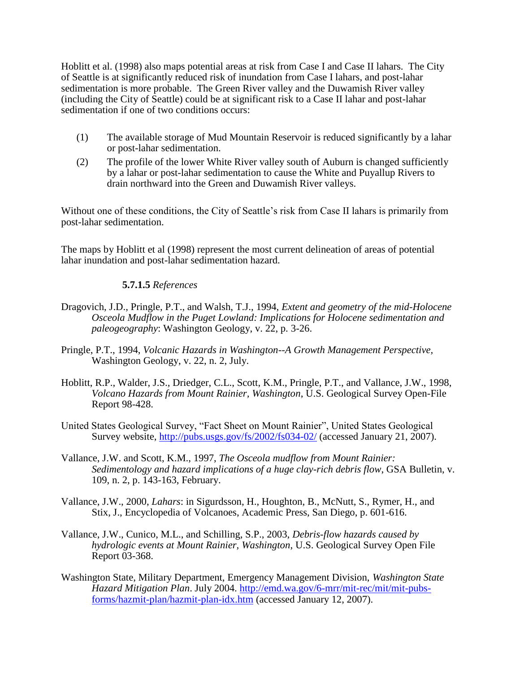Hoblitt et al. (1998) also maps potential areas at risk from Case I and Case II lahars. The City of Seattle is at significantly reduced risk of inundation from Case I lahars, and post-lahar sedimentation is more probable. The Green River valley and the Duwamish River valley (including the City of Seattle) could be at significant risk to a Case II lahar and post-lahar sedimentation if one of two conditions occurs:

- (1) The available storage of Mud Mountain Reservoir is reduced significantly by a lahar or post-lahar sedimentation.
- (2) The profile of the lower White River valley south of Auburn is changed sufficiently by a lahar or post-lahar sedimentation to cause the White and Puyallup Rivers to drain northward into the Green and Duwamish River valleys.

Without one of these conditions, the City of Seattle's risk from Case II lahars is primarily from post-lahar sedimentation.

The maps by Hoblitt et al (1998) represent the most current delineation of areas of potential lahar inundation and post-lahar sedimentation hazard.

### **5.7.1.5** *References*

- Dragovich, J.D., Pringle, P.T., and Walsh, T.J., 1994, *Extent and geometry of the mid-Holocene Osceola Mudflow in the Puget Lowland: Implications for Holocene sedimentation and paleogeography*: Washington Geology, v. 22, p. 3-26.
- Pringle, P.T., 1994, *Volcanic Hazards in Washington--A Growth Management Perspective,* Washington Geology, v. 22, n. 2, July.
- Hoblitt, R.P., Walder, J.S., Driedger, C.L., Scott, K.M., Pringle, P.T., and Vallance, J.W., 1998, *Volcano Hazards from Mount Rainier, Washington*, U.S. Geological Survey Open-File Report 98-428.
- United States Geological Survey, "Fact Sheet on Mount Rainier", United States Geological Survey website,<http://pubs.usgs.gov/fs/2002/fs034-02/> (accessed January 21, 2007).
- Vallance, J.W. and Scott, K.M., 1997, *The Osceola mudflow from Mount Rainier: Sedimentology and hazard implications of a huge clay-rich debris flow*, GSA Bulletin, v. 109, n. 2, p. 143-163, February.
- Vallance, J.W., 2000, *Lahars*: in Sigurdsson, H., Houghton, B., McNutt, S., Rymer, H., and Stix, J., Encyclopedia of Volcanoes, Academic Press, San Diego, p. 601-616.
- Vallance, J.W., Cunico, M.L., and Schilling, S.P., 2003, *Debris-flow hazards caused by hydrologic events at Mount Rainier, Washington*, U.S. Geological Survey Open File Report 03-368.
- Washington State, Military Department, Emergency Management Division, *Washington State Hazard Mitigation Plan*. July 2004. [http://emd.wa.gov/6-mrr/mit-rec/mit/mit-pubs](http://emd.wa.gov/6-mrr/mit-rec/mit/mit-pubs-forms/hazmit-plan/hazmit-plan-idx.htm)[forms/hazmit-plan/hazmit-plan-idx.htm](http://emd.wa.gov/6-mrr/mit-rec/mit/mit-pubs-forms/hazmit-plan/hazmit-plan-idx.htm) (accessed January 12, 2007).